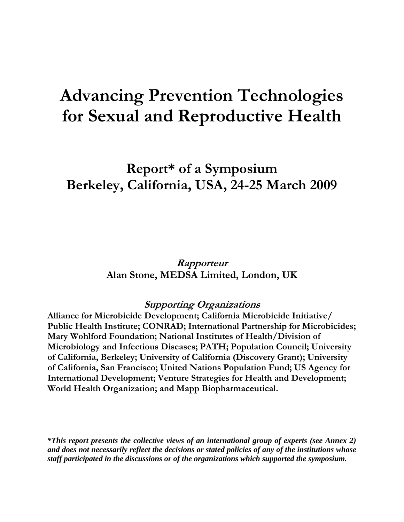# **Advancing Prevention Technologies for Sexual and Reproductive Health**

# **Report\* of a Symposium Berkeley, California, USA, 24-25 March 2009**

**Rapporteur Alan Stone, MEDSA Limited, London, UK** 

# **Supporting Organizations**

**Alliance for Microbicide Development; California Microbicide Initiative/ Public Health Institute; CONRAD; International Partnership for Microbicides; Mary Wohlford Foundation; National Institutes of Health/Division of Microbiology and Infectious Diseases; PATH; Population Council; University of California, Berkeley; University of California (Discovery Grant); University of California, San Francisco; United Nations Population Fund; US Agency for International Development; Venture Strategies for Health and Development; World Health Organization; and Mapp Biopharmaceutical.** 

*\*This report presents the collective views of an international group of experts (see Annex 2) and does not necessarily reflect the decisions or stated policies of any of the institutions whose staff participated in the discussions or of the organizations which supported the symposium.*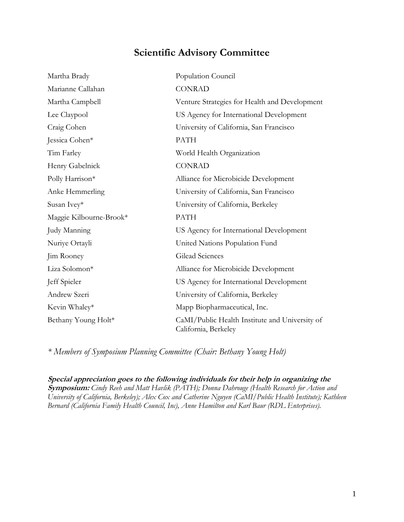# **Scientific Advisory Committee**

| Martha Brady            | Population Council                                                     |
|-------------------------|------------------------------------------------------------------------|
| Marianne Callahan       | <b>CONRAD</b>                                                          |
| Martha Campbell         | Venture Strategies for Health and Development                          |
| Lee Claypool            | US Agency for International Development                                |
| Craig Cohen             | University of California, San Francisco                                |
| Jessica Cohen*          | <b>PATH</b>                                                            |
| Tim Farley              | World Health Organization                                              |
| Henry Gabelnick         | <b>CONRAD</b>                                                          |
| Polly Harrison*         | Alliance for Microbicide Development                                   |
| Anke Hemmerling         | University of California, San Francisco                                |
| Susan Ivey*             | University of California, Berkeley                                     |
| Maggie Kilbourne-Brook* | <b>PATH</b>                                                            |
| Judy Manning            | US Agency for International Development                                |
| Nuriye Ortayli          | United Nations Population Fund                                         |
| Jim Rooney              | Gilead Sciences                                                        |
| Liza Solomon*           | Alliance for Microbicide Development                                   |
| Jeff Spieler            | US Agency for International Development                                |
| Andrew Szeri            | University of California, Berkeley                                     |
| Kevin Whaley*           | Mapp Biopharmaceutical, Inc.                                           |
| Bethany Young Holt*     | CaMI/Public Health Institute and University of<br>California, Berkeley |

*\* Members of Symposium Planning Committee (Chair: Bethany Young Holt)* 

**Special appreciation goes to the following individuals for their help in organizing the Symposium:** *Cindy Reeh and Matt Havlik (PATH); Donna Dahrouge (Health Research for Action and University of California, Berkeley); Alex Cox and Catherine Nguyen (CaMI/Public Health Institute); Kathleen Bernard (California Family Health Council, Inc), Anne Hamilton and Karl Baur (RDL Enterprises).*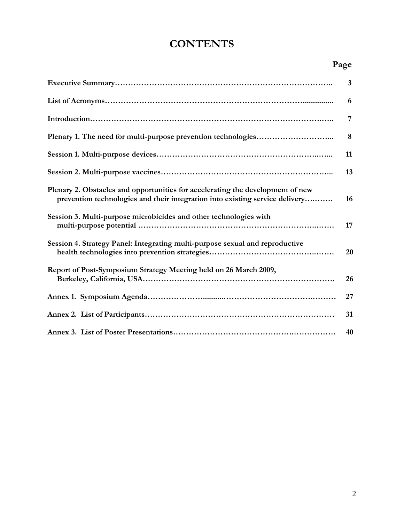# **CONTENTS**

# **Page**

|                                                                                                                                                                | 3  |
|----------------------------------------------------------------------------------------------------------------------------------------------------------------|----|
|                                                                                                                                                                | 6  |
|                                                                                                                                                                | 7  |
|                                                                                                                                                                | 8  |
|                                                                                                                                                                | 11 |
|                                                                                                                                                                | 13 |
| Plenary 2. Obstacles and opportunities for accelerating the development of new<br>prevention technologies and their integration into existing service delivery | 16 |
| Session 3. Multi-purpose microbicides and other technologies with                                                                                              | 17 |
| Session 4. Strategy Panel: Integrating multi-purpose sexual and reproductive                                                                                   | 20 |
| Report of Post-Symposium Strategy Meeting held on 26 March 2009,                                                                                               | 26 |
|                                                                                                                                                                | 27 |
|                                                                                                                                                                | 31 |
|                                                                                                                                                                | 40 |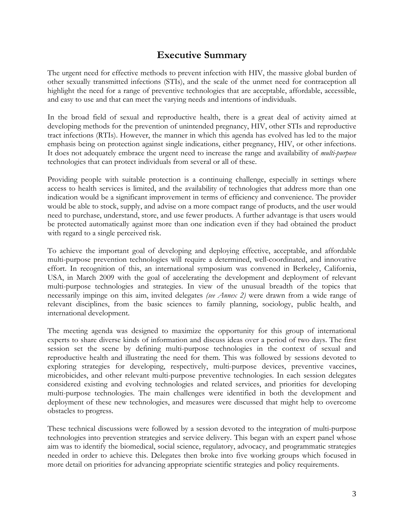# **Executive Summary**

The urgent need for effective methods to prevent infection with HIV, the massive global burden of other sexually transmitted infections (STIs), and the scale of the unmet need for contraception all highlight the need for a range of preventive technologies that are acceptable, affordable, accessible, and easy to use and that can meet the varying needs and intentions of individuals.

In the broad field of sexual and reproductive health, there is a great deal of activity aimed at developing methods for the prevention of unintended pregnancy, HIV, other STIs and reproductive tract infections (RTIs). However, the manner in which this agenda has evolved has led to the major emphasis being on protection against single indications, either pregnancy, HIV, or other infections. It does not adequately embrace the urgent need to increase the range and availability of *multi-purpose*  technologies that can protect individuals from several or all of these.

Providing people with suitable protection is a continuing challenge, especially in settings where access to health services is limited, and the availability of technologies that address more than one indication would be a significant improvement in terms of efficiency and convenience. The provider would be able to stock, supply, and advise on a more compact range of products, and the user would need to purchase, understand, store, and use fewer products. A further advantage is that users would be protected automatically against more than one indication even if they had obtained the product with regard to a single perceived risk.

To achieve the important goal of developing and deploying effective, acceptable, and affordable multi-purpose prevention technologies will require a determined, well-coordinated, and innovative effort. In recognition of this, an international symposium was convened in Berkeley, California, USA, in March 2009 with the goal of accelerating the development and deployment of relevant multi-purpose technologies and strategies. In view of the unusual breadth of the topics that necessarily impinge on this aim, invited delegates *(see Annex 2)* were drawn from a wide range of relevant disciplines, from the basic sciences to family planning, sociology, public health, and international development.

The meeting agenda was designed to maximize the opportunity for this group of international experts to share diverse kinds of information and discuss ideas over a period of two days. The first session set the scene by defining multi-purpose technologies in the context of sexual and reproductive health and illustrating the need for them. This was followed by sessions devoted to exploring strategies for developing, respectively, multi-purpose devices, preventive vaccines, microbicides, and other relevant multi-purpose preventive technologies. In each session delegates considered existing and evolving technologies and related services, and priorities for developing multi-purpose technologies. The main challenges were identified in both the development and deployment of these new technologies, and measures were discussed that might help to overcome obstacles to progress.

These technical discussions were followed by a session devoted to the integration of multi-purpose technologies into prevention strategies and service delivery. This began with an expert panel whose aim was to identify the biomedical, social science, regulatory, advocacy, and programmatic strategies needed in order to achieve this. Delegates then broke into five working groups which focused in more detail on priorities for advancing appropriate scientific strategies and policy requirements.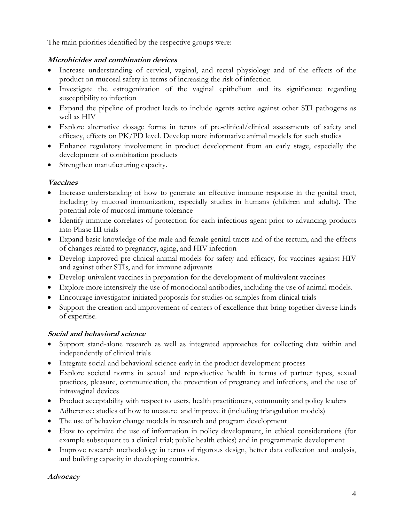The main priorities identified by the respective groups were:

## **Microbicides and combination devices**

- Increase understanding of cervical, vaginal, and rectal physiology and of the effects of the product on mucosal safety in terms of increasing the risk of infection
- Investigate the estrogenization of the vaginal epithelium and its significance regarding susceptibility to infection
- Expand the pipeline of product leads to include agents active against other STI pathogens as well as HIV
- Explore alternative dosage forms in terms of pre-clinical/clinical assessments of safety and efficacy, effects on PK/PD level. Develop more informative animal models for such studies
- Enhance regulatory involvement in product development from an early stage, especially the development of combination products
- Strengthen manufacturing capacity.

# **Vaccines**

- Increase understanding of how to generate an effective immune response in the genital tract, including by mucosal immunization, especially studies in humans (children and adults). The potential role of mucosal immune tolerance
- Identify immune correlates of protection for each infectious agent prior to advancing products into Phase III trials
- Expand basic knowledge of the male and female genital tracts and of the rectum, and the effects of changes related to pregnancy, aging, and HIV infection
- Develop improved pre-clinical animal models for safety and efficacy, for vaccines against HIV and against other STIs, and for immune adjuvants
- Develop univalent vaccines in preparation for the development of multivalent vaccines
- Explore more intensively the use of monoclonal antibodies, including the use of animal models.
- Encourage investigator-initiated proposals for studies on samples from clinical trials
- Support the creation and improvement of centers of excellence that bring together diverse kinds of expertise.

## **Social and behavioral science**

- Support stand-alone research as well as integrated approaches for collecting data within and independently of clinical trials
- Integrate social and behavioral science early in the product development process
- Explore societal norms in sexual and reproductive health in terms of partner types, sexual practices, pleasure, communication, the prevention of pregnancy and infections, and the use of intravaginal devices
- Product acceptability with respect to users, health practitioners, community and policy leaders
- Adherence: studies of how to measure and improve it (including triangulation models)
- The use of behavior change models in research and program development
- How to optimize the use of information in policy development, in ethical considerations (for example subsequent to a clinical trial; public health ethics) and in programmatic development
- Improve research methodology in terms of rigorous design, better data collection and analysis, and building capacity in developing countries.

# **Advocacy**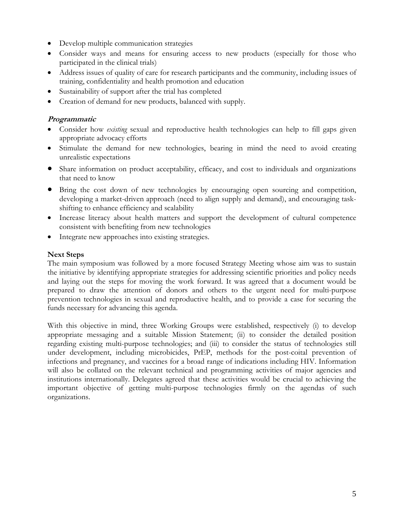- Develop multiple communication strategies
- Consider ways and means for ensuring access to new products (especially for those who participated in the clinical trials)
- Address issues of quality of care for research participants and the community, including issues of training, confidentiality and health promotion and education
- Sustainability of support after the trial has completed
- Creation of demand for new products, balanced with supply.

### **Programmatic**

- Consider how *existing* sexual and reproductive health technologies can help to fill gaps given appropriate advocacy efforts
- Stimulate the demand for new technologies, bearing in mind the need to avoid creating unrealistic expectations
- Share information on product acceptability, efficacy, and cost to individuals and organizations that need to know
- Bring the cost down of new technologies by encouraging open sourcing and competition, developing a market-driven approach (need to align supply and demand), and encouraging taskshifting to enhance efficiency and scalability
- Increase literacy about health matters and support the development of cultural competence consistent with benefiting from new technologies
- Integrate new approaches into existing strategies.

### **Next Steps**

The main symposium was followed by a more focused Strategy Meeting whose aim was to sustain the initiative by identifying appropriate strategies for addressing scientific priorities and policy needs and laying out the steps for moving the work forward. It was agreed that a document would be prepared to draw the attention of donors and others to the urgent need for multi-purpose prevention technologies in sexual and reproductive health, and to provide a case for securing the funds necessary for advancing this agenda.

With this objective in mind, three Working Groups were established, respectively (i) to develop appropriate messaging and a suitable Mission Statement; (ii) to consider the detailed position regarding existing multi-purpose technologies; and (iii) to consider the status of technologies still under development, including microbicides, PrEP, methods for the post-coital prevention of infections and pregnancy, and vaccines for a broad range of indications including HIV. Information will also be collated on the relevant technical and programming activities of major agencies and institutions internationally. Delegates agreed that these activities would be crucial to achieving the important objective of getting multi-purpose technologies firmly on the agendas of such organizations.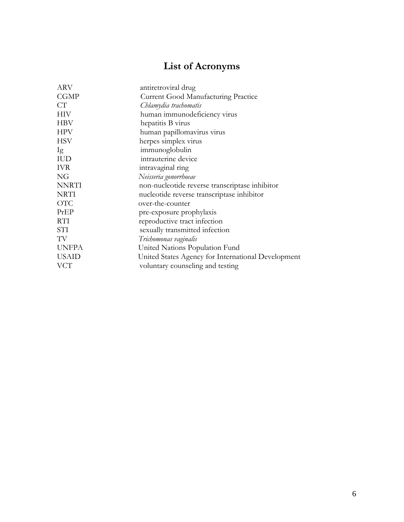# **List of Acronyms**

| ARV          | antiretroviral drug                                |  |
|--------------|----------------------------------------------------|--|
| <b>CGMP</b>  | <b>Current Good Manufacturing Practice</b>         |  |
| CT           | Chlamydia trachomatis                              |  |
| <b>HIV</b>   | human immunodeficiency virus                       |  |
| <b>HBV</b>   | hepatitis B virus                                  |  |
| <b>HPV</b>   | human papillomavirus virus                         |  |
| <b>HSV</b>   | herpes simplex virus                               |  |
| Ig           | immunoglobulin                                     |  |
| <b>IUD</b>   | intrauterine device                                |  |
| <b>IVR</b>   | intravaginal ring                                  |  |
| NG           | Neisseria gonorrhoeae                              |  |
| <b>NNRTI</b> | non-nucleotide reverse transcriptase inhibitor     |  |
| <b>NRTI</b>  | nucleotide reverse transcriptase inhibitor         |  |
| <b>OTC</b>   | over-the-counter                                   |  |
| PrEP         | pre-exposure prophylaxis                           |  |
| <b>RTI</b>   | reproductive tract infection                       |  |
| STI          | sexually transmitted infection                     |  |
| TV           | Trichomonas vaginalis                              |  |
| <b>UNFPA</b> | United Nations Population Fund                     |  |
| <b>USAID</b> | United States Agency for International Development |  |
| <b>VCT</b>   | voluntary counseling and testing                   |  |
|              |                                                    |  |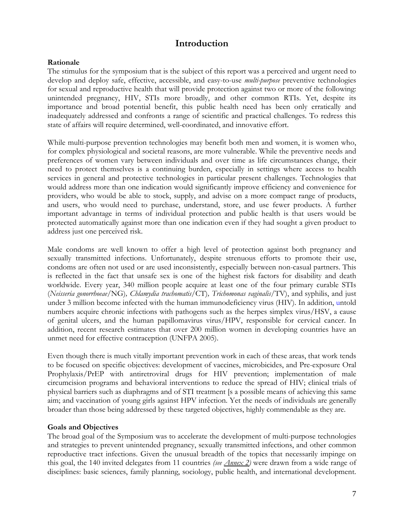# **Introduction**

### **Rationale**

The stimulus for the symposium that is the subject of this report was a perceived and urgent need to develop and deploy safe, effective, accessible, and easy-to-use *multi-purpose* preventive technologies for sexual and reproductive health that will provide protection against two or more of the following: unintended pregnancy, HIV, STIs more broadly, and other common RTIs. Yet, despite its importance and broad potential benefit, this public health need has been only erratically and inadequately addressed and confronts a range of scientific and practical challenges. To redress this state of affairs will require determined, well-coordinated, and innovative effort.

While multi-purpose prevention technologies may benefit both men and women, it is women who, for complex physiological and societal reasons, are more vulnerable. While the preventive needs and preferences of women vary between individuals and over time as life circumstances change, their need to protect themselves is a continuing burden, especially in settings where access to health services in general and protective technologies in particular present challenges. Technologies that would address more than one indication would significantly improve efficiency and convenience for providers, who would be able to stock, supply, and advise on a more compact range of products, and users, who would need to purchase, understand, store, and use fewer products. A further important advantage in terms of individual protection and public health is that users would be protected automatically against more than one indication even if they had sought a given product to address just one perceived risk.

Male condoms are well known to offer a high level of protection against both pregnancy and sexually transmitted infections. Unfortunately, despite strenuous efforts to promote their use, condoms are often not used or are used inconsistently, especially between non-casual partners. This is reflected in the fact that unsafe sex is one of the highest risk factors for disability and death worldwide. Every year, 340 million people acquire at least one of the four primary curable STIs (*Neisseria gonorrhoeae/*NG)*, Chlamydia trachomatis/*CT)*, Trichomonas vaginalis/*TV), and syphilis, and just under 3 million become infected with the human immunodeficiency virus (HIV). In addition, untold numbers acquire chronic infections with pathogens such as the herpes simplex virus/HSV, a cause of genital ulcers, and the human papillomavirus virus/HPV, responsible for cervical cancer. In addition, recent research estimates that over 200 million women in developing countries have an unmet need for effective contraception (UNFPA 2005).

Even though there is much vitally important prevention work in each of these areas, that work tends to be focused on specific objectives: development of vaccines, microbicides, and Pre-exposure Oral Prophylaxis/PrEP with antiretroviral drugs for HIV prevention; implementation of male circumcision programs and behavioral interventions to reduce the spread of HIV; clinical trials of physical barriers such as diaphragms and of STI treatment [s a possible means of achieving this same aim; and vaccination of young girls against HPV infection. Yet the needs of individuals are generally broader than those being addressed by these targeted objectives, highly commendable as they are.

### **Goals and Objectives**

The broad goal of the Symposium was to accelerate the development of multi-purpose technologies and strategies to prevent unintended pregnancy, sexually transmitted infections, and other common reproductive tract infections. Given the unusual breadth of the topics that necessarily impinge on this goal, the 140 invited delegates from 11 countries *(see Annex 2)* were drawn from a wide range of disciplines: basic sciences, family planning, sociology, public health, and international development.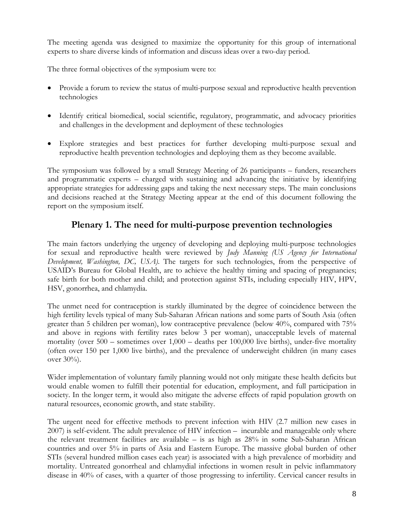The meeting agenda was designed to maximize the opportunity for this group of international experts to share diverse kinds of information and discuss ideas over a two-day period.

The three formal objectives of the symposium were to:

- Provide a forum to review the status of multi-purpose sexual and reproductive health prevention technologies
- Identify critical biomedical, social scientific, regulatory, programmatic, and advocacy priorities and challenges in the development and deployment of these technologies
- Explore strategies and best practices for further developing multi-purpose sexual and reproductive health prevention technologies and deploying them as they become available.

The symposium was followed by a small Strategy Meeting of 26 participants – funders, researchers and programmatic experts – charged with sustaining and advancing the initiative by identifying appropriate strategies for addressing gaps and taking the next necessary steps. The main conclusions and decisions reached at the Strategy Meeting appear at the end of this document following the report on the symposium itself.

# **Plenary 1. The need for multi-purpose prevention technologies**

The main factors underlying the urgency of developing and deploying multi-purpose technologies for sexual and reproductive health were reviewed by *Judy Manning (US Agency for International Development, Washington, DC, USA)*. The targets for such technologies, from the perspective of USAID's Bureau for Global Health, are to achieve the healthy timing and spacing of pregnancies; safe birth for both mother and child; and protection against STIs, including especially HIV, HPV, HSV, gonorrhea, and chlamydia.

The unmet need for contraception is starkly illuminated by the degree of coincidence between the high fertility levels typical of many Sub-Saharan African nations and some parts of South Asia (often greater than 5 children per woman), low contraceptive prevalence (below 40%, compared with 75% and above in regions with fertility rates below 3 per woman), unacceptable levels of maternal mortality (over 500 – sometimes over 1,000 – deaths per 100,000 live births), under-five mortality (often over 150 per 1,000 live births), and the prevalence of underweight children (in many cases over 30%).

Wider implementation of voluntary family planning would not only mitigate these health deficits but would enable women to fulfill their potential for education, employment, and full participation in society. In the longer term, it would also mitigate the adverse effects of rapid population growth on natural resources, economic growth, and state stability.

The urgent need for effective methods to prevent infection with HIV (2.7 million new cases in 2007) is self-evident. The adult prevalence of HIV infection – incurable and manageable only where the relevant treatment facilities are available – is as high as 28% in some Sub-Saharan African countries and over 5% in parts of Asia and Eastern Europe. The massive global burden of other STIs (several hundred million cases each year) is associated with a high prevalence of morbidity and mortality. Untreated gonorrheal and chlamydial infections in women result in pelvic inflammatory disease in 40% of cases, with a quarter of those progressing to infertility. Cervical cancer results in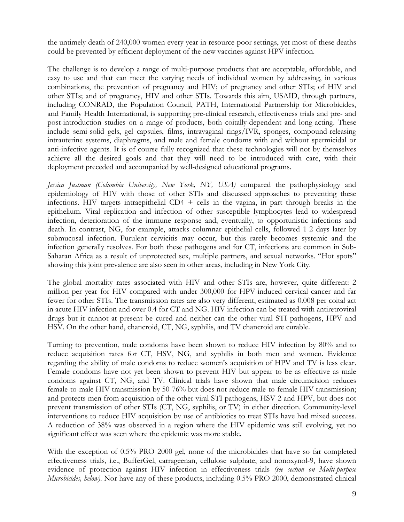the untimely death of 240,000 women every year in resource-poor settings, yet most of these deaths could be prevented by efficient deployment of the new vaccines against HPV infection.

The challenge is to develop a range of multi-purpose products that are acceptable, affordable, and easy to use and that can meet the varying needs of individual women by addressing, in various combinations, the prevention of pregnancy and HIV; of pregnancy and other STIs; of HIV and other STIs; and of pregnancy, HIV and other STIs. Towards this aim, USAID, through partners, including CONRAD, the Population Council, PATH, International Partnership for Microbicides, and Family Health International, is supporting pre-clinical research, effectiveness trials and pre- and post-introduction studies on a range of products, both coitally-dependent and long-acting. These include semi-solid gels, gel capsules, films, intravaginal rings/IVR, sponges, compound-releasing intrauterine systems, diaphragms, and male and female condoms with and without spermicidal or anti-infective agents. It is of course fully recognized that these technologies will not by themselves achieve all the desired goals and that they will need to be introduced with care, with their deployment preceded and accompanied by well-designed educational programs.

*Jessica Justman (Columbia University, New York, NY, USA)* compared the pathophysiology and epidemiology of HIV with those of other STIs and discussed approaches to preventing these infections. HIV targets intraepithelial  $CD4 +$  cells in the vagina, in part through breaks in the epithelium. Viral replication and infection of other susceptible lymphocytes lead to widespread infection, deterioration of the immune response and, eventually, to opportunistic infections and death. In contrast, NG, for example, attacks columnar epithelial cells, followed 1-2 days later by submucosal infection. Purulent cervicitis may occur, but this rarely becomes systemic and the infection generally resolves. For both these pathogens and for CT, infections are common in Sub-Saharan Africa as a result of unprotected sex, multiple partners, and sexual networks. "Hot spots" showing this joint prevalence are also seen in other areas, including in New York City.

The global mortality rates associated with HIV and other STIs are, however, quite different: 2 million per year for HIV compared with under 300,000 for HPV-induced cervical cancer and far fewer for other STIs. The transmission rates are also very different, estimated as 0.008 per coital act in acute HIV infection and over 0.4 for CT and NG. HIV infection can be treated with antiretroviral drugs but it cannot at present be cured and neither can the other viral STI pathogens, HPV and HSV. On the other hand, chancroid, CT, NG, syphilis, and TV chancroid are curable.

Turning to prevention, male condoms have been shown to reduce HIV infection by 80% and to reduce acquisition rates for CT, HSV, NG, and syphilis in both men and women. Evidence regarding the ability of male condoms to reduce women's acquisition of HPV and TV is less clear. Female condoms have not yet been shown to prevent HIV but appear to be as effective as male condoms against CT, NG, and TV. Clinical trials have shown that male circumcision reduces female-to-male HIV transmission by 50-76% but does not reduce male-to-female HIV transmission; and protects men from acquisition of the other viral STI pathogens, HSV-2 and HPV, but does not prevent transmission of other STIs (CT, NG, syphilis, or TV) in either direction. Community-level interventions to reduce HIV acquisition by use of antibiotics to treat STIs have had mixed success. A reduction of 38% was observed in a region where the HIV epidemic was still evolving, yet no significant effect was seen where the epidemic was more stable.

With the exception of 0.5% PRO 2000 gel, none of the microbicides that have so far completed effectiveness trials, i.e., BufferGel, carrageenan, cellulose sulphate, and nonoxynol-9, have shown evidence of protection against HIV infection in effectiveness trials *(see section on Multi-purpose Microbicides, below)*. Nor have any of these products, including 0.5% PRO 2000, demonstrated clinical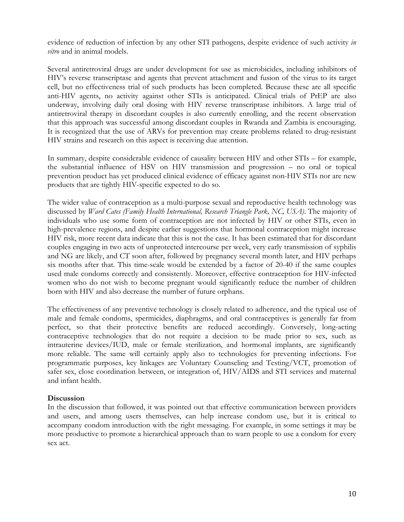evidence of reduction of infection by any other STI pathogens, despite evidence of such activity *in vitro* and in animal models.

Several antiretroviral drugs are under development for use as microbicides, including inhibitors of HIV's reverse transcriptase and agents that prevent attachment and fusion of the virus to its target cell, but no effectiveness trial of such products has been completed. Because these are all specific anti-HIV agents, no activity against other STIs is anticipated. Clinical trials of PrEP are also underway, involving daily oral dosing with HIV reverse transcriptase inhibitors. A large trial of antiretroviral therapy in discordant couples is also currently enrolling, and the recent observation that this approach was successful among discordant couples in Rwanda and Zambia is encouraging. It is recognized that the use of ARVs for prevention may create problems related to drug-resistant HIV strains and research on this aspect is receiving due attention.

In summary, despite considerable evidence of causality between HIV and other STIs – for example, the substantial influence of HSV on HIV transmission and progression – no oral or topical prevention product has yet produced clinical evidence of efficacy against non-HIV STIs nor are new products that are tightly HIV-specific expected to do so.

The wider value of contraception as a multi-purpose sexual and reproductive health technology was discussed by *Ward Cates (Family Health International, Research Triangle Park, NC, USA)*. The majority of individuals who use some form of contraception are not infected by HIV or other STIs, even in high-prevalence regions, and despite earlier suggestions that hormonal contraception might increase HIV risk, more recent data indicate that this is not the case. It has been estimated that for discordant couples engaging in two acts of unprotected intercourse per week, very early transmission of syphilis and NG are likely, and CT soon after, followed by pregnancy several month later, and HIV perhaps six months after that. This time-scale would be extended by a factor of 20-40 if the same couples used male condoms correctly and consistently. Moreover, effective contraception for HIV-infected women who do not wish to become pregnant would significantly reduce the number of children born with HIV and also decrease the number of future orphans.

The effectiveness of any preventive technology is closely related to adherence, and the typical use of male and female condoms, spermicides, diaphragms, and oral contraceptives is generally far from perfect, so that their protective benefits are reduced accordingly. Conversely, long-acting contraceptive technologies that do not require a decision to be made prior to sex, such as intrauterine devices/IUD, male or female sterilization, and hormonal implants, are significantly more reliable. The same will certainly apply also to technologies for preventing infections. For programmatic purposes, key linkages are Voluntary Counseling and Testing/VCT, promotion of safer sex, close coordination between, or integration of, HIV/AIDS and STI services and maternal and infant health.

### **Discussion**

In the discussion that followed, it was pointed out that effective communication between providers and users, and among users themselves, can help increase condom use, but it is critical to accompany condom introduction with the right messaging. For example, in some settings it may be more productive to promote a hierarchical approach than to warn people to use a condom for every sex act.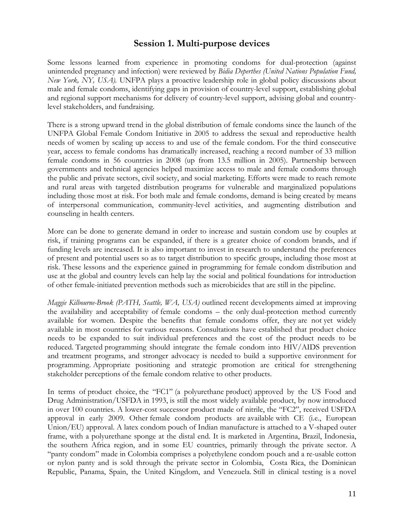# **Session 1. Multi-purpose devices**

Some lessons learned from experience in promoting condoms for dual-protection (against unintended pregnancy and infection) were reviewed by *Bidia Deperthes (United Nations Population Fund, New York, NY, USA).* UNFPA plays a proactive leadership role in global policy discussions about male and female condoms, identifying gaps in provision of country-level support, establishing global and regional support mechanisms for delivery of country-level support, advising global and countrylevel stakeholders, and fundraising.

There is a strong upward trend in the global distribution of female condoms since the launch of the UNFPA Global Female Condom Initiative in 2005 to address the sexual and reproductive health needs of women by scaling up access to and use of the female condom. For the third consecutive year, access to female condoms has dramatically increased, reaching a record number of 33 million female condoms in 56 countries in 2008 (up from 13.5 million in 2005). Partnership between governments and technical agencies helped maximize access to male and female condoms through the public and private sectors, civil society, and social marketing. Efforts were made to reach remote and rural areas with targeted distribution programs for vulnerable and marginalized populations including those most at risk. For both male and female condoms, demand is being created by means of interpersonal communication, community-level activities, and augmenting distribution and counseling in health centers.

More can be done to generate demand in order to increase and sustain condom use by couples at risk, if training programs can be expanded, if there is a greater choice of condom brands, and if funding levels are increased. It is also important to invest in research to understand the preferences of present and potential users so as to target distribution to specific groups, including those most at risk. These lessons and the experience gained in programming for female condom distribution and use at the global and country levels can help lay the social and political foundations for introduction of other female-initiated prevention methods such as microbicides that are still in the pipeline.

*Maggie Kilbourne-Brook (PATH, Seattle, WA, USA)* outlined recent developments aimed at improving the availability and acceptability of female condoms – the only dual-protection method currently available for women. Despite the benefits that female condoms offer, they are not yet widely available in most countries for various reasons. Consultations have established that product choice needs to be expanded to suit individual preferences and the cost of the product needs to be reduced. Targeted programming should integrate the female condom into HIV/AIDS prevention and treatment programs, and stronger advocacy is needed to build a supportive environment for programming. Appropriate positioning and strategic promotion are critical for strengthening stakeholder perceptions of the female condom relative to other products.

In terms of product choice, the "FC1" (a polyurethane product) approved by the US Food and Drug Administration/USFDA in 1993, is still the most widely available product, by now introduced in over 100 countries. A lower-cost successor product made of nitrile, the "FC2", received USFDA approval in early 2009. Other female condom products are available with CE (i.e., European Union/EU) approval. A latex condom pouch of Indian manufacture is attached to a V-shaped outer frame, with a polyurethane sponge at the distal end. It is marketed in Argentina, Brazil, Indonesia, the southern Africa region, and in some EU countries, primarily through the private sector. A "panty condom" made in Colombia comprises a polyethylene condom pouch and a re-usable cotton or nylon panty and is sold through the private sector in Colombia, Costa Rica, the Dominican Republic, Panama, Spain, the United Kingdom, and Venezuela. Still in clinical testing is a novel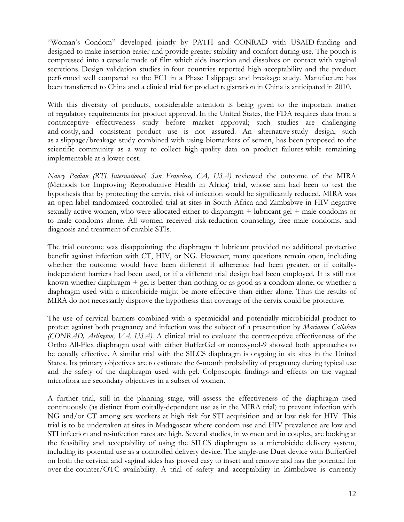"Woman's Condom" developed jointly by PATH and CONRAD with USAID funding and designed to make insertion easier and provide greater stability and comfort during use. The pouch is compressed into a capsule made of film which aids insertion and dissolves on contact with vaginal secretions. Design validation studies in four countries reported high acceptability and the product performed well compared to the FC1 in a Phase I slippage and breakage study. Manufacture has been transferred to China and a clinical trial for product registration in China is anticipated in 2010.

With this diversity of products, considerable attention is being given to the important matter of regulatory requirements for product approval. In the United States, the FDA requires data from a contraceptive effectiveness study before market approval; such studies are challenging and costly, and consistent product use is not assured. An alternative study design, such as a slippage/breakage study combined with using biomarkers of semen, has been proposed to the scientific community as a way to collect high-quality data on product failures while remaining implementable at a lower cost.

*Nancy Padian (RTI International, San Francisco, CA, USA)* reviewed the outcome of the MIRA (Methods for Improving Reproductive Health in Africa) trial, whose aim had been to test the hypothesis that by protecting the cervix, risk of infection would be significantly reduced. MIRA was an open-label randomized controlled trial at sites in South Africa and Zimbabwe in HIV-negative sexually active women, who were allocated either to diaphragm + lubricant gel + male condoms or to male condoms alone. All women received risk-reduction counseling, free male condoms, and diagnosis and treatment of curable STIs.

The trial outcome was disappointing: the diaphragm + lubricant provided no additional protective benefit against infection with CT, HIV, or NG. However, many questions remain open, including whether the outcome would have been different if adherence had been greater, or if coitallyindependent barriers had been used, or if a different trial design had been employed. It is still not known whether diaphragm + gel is better than nothing or as good as a condom alone, or whether a diaphragm used with a microbicide might be more effective than either alone. Thus the results of MIRA do not necessarily disprove the hypothesis that coverage of the cervix could be protective.

The use of cervical barriers combined with a spermicidal and potentially microbicidal product to protect against both pregnancy and infection was the subject of a presentation by *Marianne Callahan (CONRAD, Arlington, VA, USA)*. A clinical trial to evaluate the contraceptive effectiveness of the Ortho All-Flex diaphragm used with either BufferGel or nonoxynol-9 showed both approaches to be equally effective. A similar trial with the SILCS diaphragm is ongoing in six sites in the United States. Its primary objectives are to estimate the 6-month probability of pregnancy during typical use and the safety of the diaphragm used with gel. Colposcopic findings and effects on the vaginal microflora are secondary objectives in a subset of women.

A further trial, still in the planning stage, will assess the effectiveness of the diaphragm used continuously (as distinct from coitally-dependent use as in the MIRA trial) to prevent infection with NG and/or CT among sex workers at high risk for STI acquisition and at low risk for HIV. This trial is to be undertaken at sites in Madagascar where condom use and HIV prevalence are low and STI infection and re-infection rates are high. Several studies, in women and in couples, are looking at the feasibility and acceptability of using the SILCS diaphragm as a microbicide delivery system, including its potential use as a controlled delivery device. The single-use Duet device with BufferGel on both the cervical and vaginal sides has proved easy to insert and remove and has the potential for over-the-counter/OTC availability. A trial of safety and acceptability in Zimbabwe is currently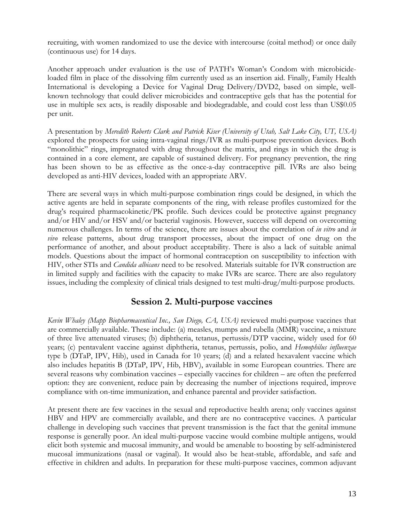recruiting, with women randomized to use the device with intercourse (coital method) or once daily (continuous use) for 14 days.

Another approach under evaluation is the use of PATH's Woman's Condom with microbicideloaded film in place of the dissolving film currently used as an insertion aid. Finally, Family Health International is developing a Device for Vaginal Drug Delivery/DVD2, based on simple, wellknown technology that could deliver microbicides and contraceptive gels that has the potential for use in multiple sex acts, is readily disposable and biodegradable, and could cost less than US\$0.05 per unit.

A presentation by *Meredith Roberts Clark and Patrick Kiser (University of Utah, Salt Lake City, UT, USA)*  explored the prospects for using intra-vaginal rings/IVR as multi-purpose prevention devices. Both "monolithic" rings, impregnated with drug throughout the matrix, and rings in which the drug is contained in a core element, are capable of sustained delivery. For pregnancy prevention, the ring has been shown to be as effective as the once-a-day contraceptive pill. IVRs are also being developed as anti-HIV devices, loaded with an appropriate ARV.

There are several ways in which multi-purpose combination rings could be designed, in which the active agents are held in separate components of the ring, with release profiles customized for the drug's required pharmacokinetic/PK profile. Such devices could be protective against pregnancy and/or HIV and/or HSV and/or bacterial vaginosis. However, success will depend on overcoming numerous challenges. In terms of the science, there are issues about the correlation of *in vitro* and *in vivo* release patterns, about drug transport processes, about the impact of one drug on the performance of another, and about product acceptability. There is also a lack of suitable animal models. Questions about the impact of hormonal contraception on susceptibility to infection with HIV, other STIs and *Candida albicans* need to be resolved. Materials suitable for IVR construction are in limited supply and facilities with the capacity to make IVRs are scarce. There are also regulatory issues, including the complexity of clinical trials designed to test multi-drug/multi-purpose products.

# **Session 2. Multi-purpose vaccines**

*Kevin Whaley (Mapp Biopharmaceutical Inc., San Diego, CA, USA)* reviewed multi-purpose vaccines that are commercially available. These include: (a) measles, mumps and rubella (MMR) vaccine, a mixture of three live attenuated viruses; (b) diphtheria, tetanus, pertussis/DTP vaccine, widely used for 60 years; (c) pentavalent vaccine against diphtheria, tetanus, pertussis, polio, and *Hemophilus influenzae* type b (DTaP, IPV, Hib), used in Canada for 10 years; (d) and a related hexavalent vaccine which also includes hepatitis B (DTaP, IPV, Hib, HBV), available in some European countries. There are several reasons why combination vaccines – especially vaccines for children – are often the preferred option: they are convenient, reduce pain by decreasing the number of injections required, improve compliance with on-time immunization, and enhance parental and provider satisfaction.

At present there are few vaccines in the sexual and reproductive health arena; only vaccines against HBV and HPV are commercially available, and there are no contraceptive vaccines. A particular challenge in developing such vaccines that prevent transmission is the fact that the genital immune response is generally poor. An ideal multi-purpose vaccine would combine multiple antigens, would elicit both systemic and mucosal immunity, and would be amenable to boosting by self-administered mucosal immunizations (nasal or vaginal). It would also be heat-stable, affordable, and safe and effective in children and adults. In preparation for these multi-purpose vaccines, common adjuvant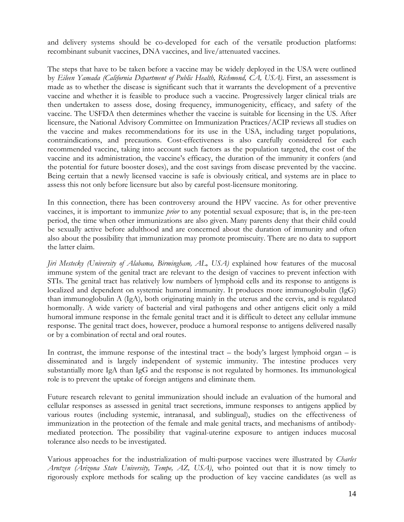and delivery systems should be co-developed for each of the versatile production platforms: recombinant subunit vaccines, DNA vaccines, and live/attenuated vaccines.

The steps that have to be taken before a vaccine may be widely deployed in the USA were outlined by *Eileen Yamada (California Department of Public Health, Richmond, CA, USA)*. First, an assessment is made as to whether the disease is significant such that it warrants the development of a preventive vaccine and whether it is feasible to produce such a vaccine. Progressively larger clinical trials are then undertaken to assess dose, dosing frequency, immunogenicity, efficacy, and safety of the vaccine. The USFDA then determines whether the vaccine is suitable for licensing in the US. After licensure, the National Advisory Committee on Immunization Practices/ACIP reviews all studies on the vaccine and makes recommendations for its use in the USA, including target populations, contraindications, and precautions. Cost-effectiveness is also carefully considered for each recommended vaccine, taking into account such factors as the population targeted, the cost of the vaccine and its administration, the vaccine's efficacy, the duration of the immunity it confers (and the potential for future booster doses), and the cost savings from disease prevented by the vaccine. Being certain that a newly licensed vaccine is safe is obviously critical, and systems are in place to assess this not only before licensure but also by careful post-licensure monitoring.

In this connection, there has been controversy around the HPV vaccine. As for other preventive vaccines, it is important to immunize *prior* to any potential sexual exposure; that is, in the pre-teen period, the time when other immunizations are also given. Many parents deny that their child could be sexually active before adulthood and are concerned about the duration of immunity and often also about the possibility that immunization may promote promiscuity. There are no data to support the latter claim.

*Jiri Mestecky (University of Alabama, Birmingham, AL, USA)* explained how features of the mucosal immune system of the genital tract are relevant to the design of vaccines to prevent infection with STIs. The genital tract has relatively low numbers of lymphoid cells and its response to antigens is localized and dependent on systemic humoral immunity. It produces more immunoglobulin (IgG) than immunoglobulin A (IgA), both originating mainly in the uterus and the cervix, and is regulated hormonally. A wide variety of bacterial and viral pathogens and other antigens elicit only a mild humoral immune response in the female genital tract and it is difficult to detect any cellular immune response. The genital tract does, however, produce a humoral response to antigens delivered nasally or by a combination of rectal and oral routes.

In contrast, the immune response of the intestinal tract – the body's largest lymphoid organ – is disseminated and is largely independent of systemic immunity. The intestine produces very substantially more IgA than IgG and the response is not regulated by hormones. Its immunological role is to prevent the uptake of foreign antigens and eliminate them.

Future research relevant to genital immunization should include an evaluation of the humoral and cellular responses as assessed in genital tract secretions, immune responses to antigens applied by various routes (including systemic, intranasal, and sublingual), studies on the effectiveness of immunization in the protection of the female and male genital tracts, and mechanisms of antibodymediated protection. The possibility that vaginal-uterine exposure to antigen induces mucosal tolerance also needs to be investigated.

Various approaches for the industrialization of multi-purpose vaccines were illustrated by *Charles Arntzen (Arizona State University, Tempe, AZ, USA)*, who pointed out that it is now timely to rigorously explore methods for scaling up the production of key vaccine candidates (as well as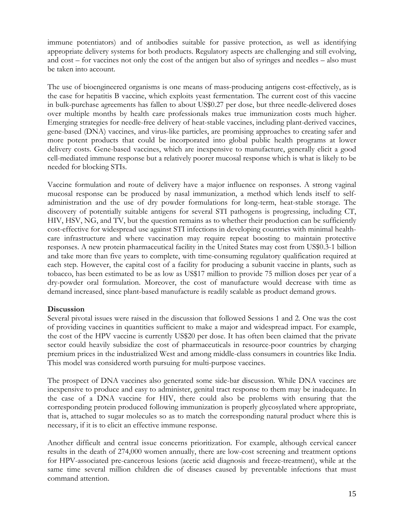immune potentiators) and of antibodies suitable for passive protection, as well as identifying appropriate delivery systems for both products. Regulatory aspects are challenging and still evolving, and cost – for vaccines not only the cost of the antigen but also of syringes and needles – also must be taken into account.

The use of bioengineered organisms is one means of mass-producing antigens cost-effectively, as is the case for hepatitis B vaccine, which exploits yeast fermentation. The current cost of this vaccine in bulk-purchase agreements has fallen to about US\$0.27 per dose, but three needle-delivered doses over multiple months by health care professionals makes true immunization costs much higher. Emerging strategies for needle-free delivery of heat-stable vaccines, including plant-derived vaccines, gene-based (DNA) vaccines, and virus-like particles, are promising approaches to creating safer and more potent products that could be incorporated into global public health programs at lower delivery costs. Gene-based vaccines, which are inexpensive to manufacture, generally elicit a good cell-mediated immune response but a relatively poorer mucosal response which is what is likely to be needed for blocking STIs.

Vaccine formulation and route of delivery have a major influence on responses. A strong vaginal mucosal response can be produced by nasal immunization, a method which lends itself to selfadministration and the use of dry powder formulations for long-term, heat-stable storage. The discovery of potentially suitable antigens for several STI pathogens is progressing, including CT, HIV, HSV, NG, and TV, but the question remains as to whether their production can be sufficiently cost-effective for widespread use against STI infections in developing countries with minimal healthcare infrastructure and where vaccination may require repeat boosting to maintain protective responses. A new protein pharmaceutical facility in the United States may cost from US\$0.3-1 billion and take more than five years to complete, with time-consuming regulatory qualification required at each step. However, the capital cost of a facility for producing a subunit vaccine in plants, such as tobacco, has been estimated to be as low as US\$17 million to provide 75 million doses per year of a dry-powder oral formulation. Moreover, the cost of manufacture would decrease with time as demand increased, since plant-based manufacture is readily scalable as product demand grows.

### **Discussion**

Several pivotal issues were raised in the discussion that followed Sessions 1 and 2. One was the cost of providing vaccines in quantities sufficient to make a major and widespread impact. For example, the cost of the HPV vaccine is currently US\$20 per dose. It has often been claimed that the private sector could heavily subsidize the cost of pharmaceuticals in resource-poor countries by charging premium prices in the industrialized West and among middle-class consumers in countries like India. This model was considered worth pursuing for multi-purpose vaccines.

The prospect of DNA vaccines also generated some side-bar discussion. While DNA vaccines are inexpensive to produce and easy to administer, genital tract response to them may be inadequate. In the case of a DNA vaccine for HIV, there could also be problems with ensuring that the corresponding protein produced following immunization is properly glycosylated where appropriate, that is, attached to sugar molecules so as to match the corresponding natural product where this is necessary, if it is to elicit an effective immune response.

Another difficult and central issue concerns prioritization. For example, although cervical cancer results in the death of 274,000 women annually, there are low-cost screening and treatment options for HPV-associated pre-cancerous lesions (acetic acid diagnosis and freeze-treatment), while at the same time several million children die of diseases caused by preventable infections that must command attention.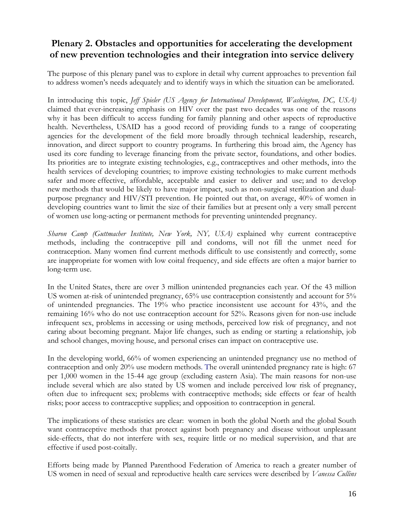# **Plenary 2. Obstacles and opportunities for accelerating the development of new prevention technologies and their integration into service delivery**

The purpose of this plenary panel was to explore in detail why current approaches to prevention fail to address women's needs adequately and to identify ways in which the situation can be ameliorated.

In introducing this topic, *Jeff Spieler (US Agency for International Development, Washington, DC, USA)* claimed that ever-increasing emphasis on HIV over the past two decades was one of the reasons why it has been difficult to access funding for family planning and other aspects of reproductive health. Nevertheless, USAID has a good record of providing funds to a range of cooperating agencies for the development of the field more broadly through technical leadership, research, innovation, and direct support to country programs. In furthering this broad aim, the Agency has used its core funding to leverage financing from the private sector, foundations, and other bodies. Its priorities are to integrate existing technologies, e.g., contraceptives and other methods, into the health services of developing countries; to improve existing technologies to make current methods safer and more effective, affordable, acceptable and easier to deliver and use; and to develop new methods that would be likely to have major impact, such as non-surgical sterilization and dualpurpose pregnancy and HIV/STI prevention. He pointed out that, on average, 40% of women in developing countries want to limit the size of their families but at present only a very small percent of women use long-acting or permanent methods for preventing unintended pregnancy.

*Sharon Camp (Guttmacher Institute, New York, NY, USA)* explained why current contraceptive methods, including the contraceptive pill and condoms, will not fill the unmet need for contraception. Many women find current methods difficult to use consistently and correctly, some are inappropriate for women with low coital frequency, and side effects are often a major barrier to long-term use.

In the United States, there are over 3 million unintended pregnancies each year. Of the 43 million US women at-risk of unintended pregnancy, 65% use contraception consistently and account for 5% of unintended pregnancies. The 19% who practice inconsistent use account for 43%, and the remaining 16% who do not use contraception account for 52%. Reasons given for non-use include infrequent sex, problems in accessing or using methods, perceived low risk of pregnancy, and not caring about becoming pregnant. Major life changes, such as ending or starting a relationship, job and school changes, moving house, and personal crises can impact on contraceptive use.

In the developing world, 66% of women experiencing an unintended pregnancy use no method of contraception and only 20% use modern methods. The overall unintended pregnancy rate is high: 67 per 1,000 women in the 15-44 age group (excluding eastern Asia). The main reasons for non-use include several which are also stated by US women and include perceived low risk of pregnancy, often due to infrequent sex; problems with contraceptive methods; side effects or fear of health risks; poor access to contraceptive supplies; and opposition to contraception in general.

The implications of these statistics are clear: women in both the global North and the global South want contraceptive methods that protect against both pregnancy and disease without unpleasant side-effects, that do not interfere with sex, require little or no medical supervision, and that are effective if used post-coitally.

Efforts being made by Planned Parenthood Federation of America to reach a greater number of US women in need of sexual and reproductive health care services were described by *Vanessa Cullins*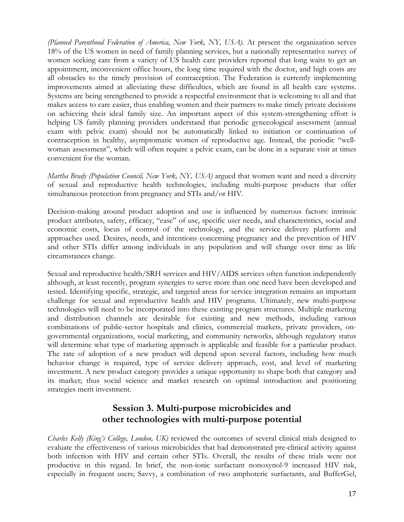*(Planned Parenthood Federation of America, New York, NY, USA).* At present the organization serves 18% of the US women in need of family planning services, but a nationally representative survey of women seeking care from a variety of US health care providers reported that long waits to get an appointment, inconvenient office hours, the long time required with the doctor, and high costs are all obstacles to the timely provision of contraception. The Federation is currently implementing improvements aimed at alleviating these difficulties, which are found in all health care systems. Systems are being strengthened to provide a respectful environment that is welcoming to all and that makes access to care easier, thus enabling women and their partners to make timely private decisions on achieving their ideal family size. An important aspect of this system-strengthening effort is helping US family planning providers understand that periodic gynecological assessment (annual exam with pelvic exam) should not be automatically linked to initiation or continuation of contraception in healthy, asymptomatic women of reproductive age. Instead, the periodic "wellwoman assessment", which will often require a pelvic exam, can be done in a separate visit at times convenient for the woman.

*Martha Brady (Population Council, New York, NY, USA)* argued that women want and need a diversity of sexual and reproductive health technologies, including multi-purpose products that offer simultaneous protection from pregnancy and STIs and/or HIV.

Decision-making around product adoption and use is influenced by numerous factors: intrinsic product attributes, safety, efficacy, "ease" of use, specific user needs, and characteristics, social and economic costs, locus of control of the technology, and the service delivery platform and approaches used. Desires, needs, and intentions concerning pregnancy and the prevention of HIV and other STIs differ among individuals in any population and will change over time as life circumstances change.

Sexual and reproductive health/SRH services and HIV/AIDS services often function independently although, at least recently, program synergies to serve more than one need have been developed and tested. Identifying specific, strategic, and targeted areas for service integration remains an important challenge for sexual and reproductive health and HIV programs. Ultimately, new multi-purpose technologies will need to be incorporated into these existing program structures. Multiple marketing and distribution channels are desirable for existing and new methods, including various combinations of public-sector hospitals and clinics, commercial markets, private providers, ongovernmental organizations, social marketing, and community networks, although regulatory status will determine what type of marketing approach is applicable and feasible for a particular product. The rate of adoption of a new product will depend upon several factors, including how much behavior change is required, type of service delivery approach, cost, and level of marketing investment. A new product category provides a unique opportunity to shape both that category and its market; thus social science and market research on optimal introduction and positioning strategies merit investment.

# **Session 3. Multi-purpose microbicides and other technologies with multi-purpose potential**

*Charles Kelly (King's College, London, UK)* reviewed the outcomes of several clinical trials designed to evaluate the effectiveness of various microbicides that had demonstrated pre-clinical activity against both infection with HIV and certain other STIs. Overall, the results of these trials were not productive in this regard. In brief, the non-ionic surfactant nonoxynol-9 increased HIV risk, especially in frequent users; Savvy, a combination of two amphoteric surfactants, and BufferGel,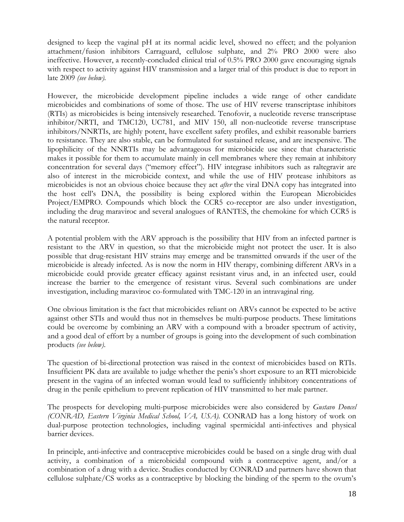designed to keep the vaginal pH at its normal acidic level, showed no effect; and the polyanion attachment/fusion inhibitors Carraguard, cellulose sulphate, and 2% PRO 2000 were also ineffective. However, a recently-concluded clinical trial of 0.5% PRO 2000 gave encouraging signals with respect to activity against HIV transmission and a larger trial of this product is due to report in late 2009 *(see below).*

However, the microbicide development pipeline includes a wide range of other candidate microbicides and combinations of some of those. The use of HIV reverse transcriptase inhibitors (RTIs) as microbicides is being intensively researched. Tenofovir, a nucleotide reverse transcriptase inhibitor/NRTI, and TMC120, UC781, and MIV 150, all non-nucleotide reverse transcriptase inhibitors/NNRTIs, are highly potent, have excellent safety profiles, and exhibit reasonable barriers to resistance. They are also stable, can be formulated for sustained release, and are inexpensive. The lipophilicity of the NNRTIs may be advantageous for microbicide use since that characteristic makes it possible for them to accumulate mainly in cell membranes where they remain at inhibitory concentration for several days ("memory effect"). HIV integrase inhibitors such as raltegravir are also of interest in the microbicide context, and while the use of HIV protease inhibitors as microbicides is not an obvious choice because they act *after* the viral DNA copy has integrated into the host cell's DNA, the possibility is being explored within the European Microbicides Project/EMPRO. Compounds which block the CCR5 co-receptor are also under investigation, including the drug maraviroc and several analogues of RANTES, the chemokine for which CCR5 is the natural receptor.

A potential problem with the ARV approach is the possibility that HIV from an infected partner is resistant to the ARV in question, so that the microbicide might not protect the user. It is also possible that drug-resistant HIV strains may emerge and be transmitted onwards if the user of the microbicide is already infected. As is now the norm in HIV therapy, combining different ARVs in a microbicide could provide greater efficacy against resistant virus and, in an infected user, could increase the barrier to the emergence of resistant virus. Several such combinations are under investigation, including maraviroc co-formulated with TMC-120 in an intravaginal ring.

One obvious limitation is the fact that microbicides reliant on ARVs cannot be expected to be active against other STIs and would thus not in themselves be multi-purpose products. These limitations could be overcome by combining an ARV with a compound with a broader spectrum of activity, and a good deal of effort by a number of groups is going into the development of such combination products *(see below)*.

The question of bi-directional protection was raised in the context of microbicides based on RTIs. Insufficient PK data are available to judge whether the penis's short exposure to an RTI microbicide present in the vagina of an infected woman would lead to sufficiently inhibitory concentrations of drug in the penile epithelium to prevent replication of HIV transmitted to her male partner.

The prospects for developing multi-purpose microbicides were also considered by *Gustavo Doncel (CONRAD, Eastern Virginia Medical School, VA, USA).* CONRAD has a long history of work on dual-purpose protection technologies, including vaginal spermicidal anti-infectives and physical barrier devices.

In principle, anti-infective and contraceptive microbicides could be based on a single drug with dual activity, a combination of a microbicidal compound with a contraceptive agent, and/or a combination of a drug with a device. Studies conducted by CONRAD and partners have shown that cellulose sulphate/CS works as a contraceptive by blocking the binding of the sperm to the ovum's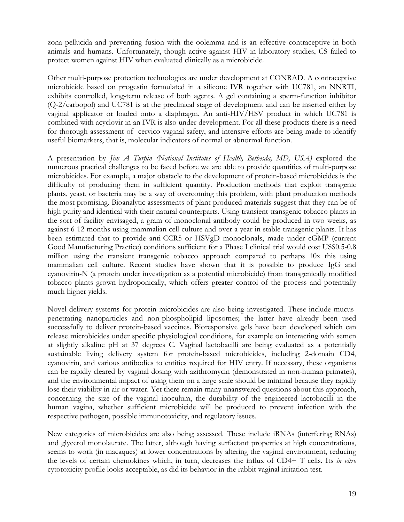zona pellucida and preventing fusion with the oolemma and is an effective contraceptive in both animals and humans. Unfortunately, though active against HIV in laboratory studies, CS failed to protect women against HIV when evaluated clinically as a microbicide.

Other multi-purpose protection technologies are under development at CONRAD. A contraceptive microbicide based on progestin formulated in a silicone IVR together with UC781, an NNRTI, exhibits controlled, long-term release of both agents. A gel containing a sperm-function inhibitor (Q-2/carbopol) and UC781 is at the preclinical stage of development and can be inserted either by vaginal applicator or loaded onto a diaphragm. An anti-HIV/HSV product in which UC781 is combined with acyclovir in an IVR is also under development. For all these products there is a need for thorough assessment of cervico-vaginal safety, and intensive efforts are being made to identify useful biomarkers, that is, molecular indicators of normal or abnormal function.

A presentation by *Jim A Turpin (National Institutes of Health, Bethesda, MD, USA)* explored the numerous practical challenges to be faced before we are able to provide quantities of multi-purpose microbicides. For example, a major obstacle to the development of protein-based microbicides is the difficulty of producing them in sufficient quantity. Production methods that exploit transgenic plants, yeast, or bacteria may be a way of overcoming this problem, with plant production methods the most promising. Bioanalytic assessments of plant-produced materials suggest that they can be of high purity and identical with their natural counterparts. Using transient transgenic tobacco plants in the sort of facility envisaged, a gram of monoclonal antibody could be produced in two weeks, as against 6-12 months using mammalian cell culture and over a year in stable transgenic plants. It has been estimated that to provide anti-CCR5 or HSVgD monoclonals, made under cGMP (current Good Manufacturing Practice) conditions sufficient for a Phase I clinical trial would cost US\$0.5-0.8 million using the transient transgenic tobacco approach compared to perhaps 10x this using mammalian cell culture. Recent studies have shown that it is possible to produce IgG and cyanovirin-N (a protein under investigation as a potential microbicide) from transgenically modified tobacco plants grown hydroponically, which offers greater control of the process and potentially much higher yields.

Novel delivery systems for protein microbicides are also being investigated. These include mucuspenetrating nanoparticles and non-phospholipid liposomes; the latter have already been used successfully to deliver protein-based vaccines. Bioresponsive gels have been developed which can release microbicides under specific physiological conditions, for example on interacting with semen at slightly alkaline pH at 37 degrees C. Vaginal lactobacilli are being evaluated as a potentially sustainable living delivery system for protein-based microbicides, including 2-domain CD4, cyanovirin, and various antibodies to entities required for HIV entry. If necessary, these organisms can be rapidly cleared by vaginal dosing with azithromycin (demonstrated in non-human primates), and the environmental impact of using them on a large scale should be minimal because they rapidly lose their viability in air or water. Yet there remain many unanswered questions about this approach, concerning the size of the vaginal inoculum, the durability of the engineered lactobacilli in the human vagina, whether sufficient microbicide will be produced to prevent infection with the respective pathogen, possible immunotoxicity, and regulatory issues.

New categories of microbicides are also being assessed. These include iRNAs (interfering RNAs) and glycerol monolaurate. The latter, although having surfactant properties at high concentrations, seems to work (in macaques) at lower concentrations by altering the vaginal environment, reducing the levels of certain chemokines which, in turn, decreases the influx of CD4+ T cells. Its *in vitro* cytotoxicity profile looks acceptable, as did its behavior in the rabbit vaginal irritation test.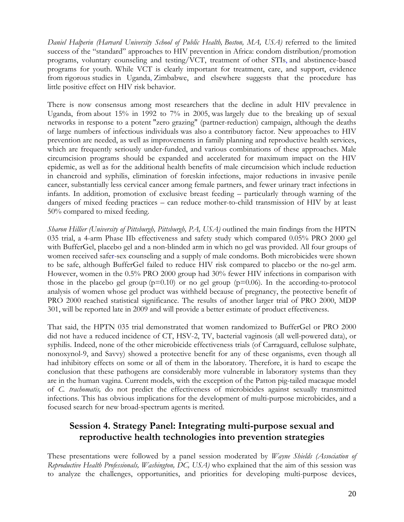*Daniel Halperin (Harvard University School of Public Health, Boston, MA, USA)* referred to the limited success of the "standard" approaches to HIV prevention in Africa: condom distribution/promotion programs, voluntary counseling and testing/VCT, treatment of other STIs, and abstinence-based programs for youth. While VCT is clearly important for treatment, care, and support, evidence from rigorous studies in Uganda, Zimbabwe, and elsewhere suggests that the procedure has little positive effect on HIV risk behavior.

There is now consensus among most researchers that the decline in adult HIV prevalence in Uganda, from about 15% in 1992 to 7% in 2005, was largely due to the breaking up of sexual networks in response to a potent "zero grazing" (partner-reduction) campaign, although the deaths of large numbers of infectious individuals was also a contributory factor. New approaches to HIV prevention are needed, as well as improvements in family planning and reproductive health services, which are frequently seriously under-funded, and various combinations of these approaches. Male circumcision programs should be expanded and accelerated for maximum impact on the HIV epidemic, as well as for the additional health benefits of male circumcision which include reduction in chancroid and syphilis, elimination of foreskin infections, major reductions in invasive penile cancer, substantially less cervical cancer among female partners, and fewer urinary tract infections in infants. In addition, promotion of exclusive breast feeding – particularly through warning of the dangers of mixed feeding practices – can reduce mother-to-child transmission of HIV by at least 50% compared to mixed feeding.

*Sharon Hillier (University of Pittsburgh, Pittsburgh, PA, USA)* outlined the main findings from the HPTN 035 trial, a 4-arm Phase IIb effectiveness and safety study which compared 0.05% PRO 2000 gel with BufferGel, placebo gel and a non-blinded arm in which no gel was provided. All four groups of women received safer-sex counseling and a supply of male condoms. Both microbicides were shown to be safe, although BufferGel failed to reduce HIV risk compared to placebo or the no-gel arm. However, women in the 0.5% PRO 2000 group had 30% fewer HIV infections in comparison with those in the placebo gel group  $(p=0.10)$  or no gel group  $(p=0.06)$ . In the according-to-protocol analysis of women whose gel product was withheld because of pregnancy, the protective benefit of PRO 2000 reached statistical significance. The results of another larger trial of PRO 2000, MDP 301, will be reported late in 2009 and will provide a better estimate of product effectiveness.

That said, the HPTN 035 trial demonstrated that women randomized to BufferGel or PRO 2000 did not have a reduced incidence of CT, HSV-2, TV, bacterial vaginosis (all well-powered data), or syphilis. Indeed, none of the other microbicide effectiveness trials (of Carraguard, cellulose sulphate, nonoxynol-9, and Savvy) showed a protective benefit for any of these organisms, even though all had inhibitory effects on some or all of them in the laboratory. Therefore, it is hard to escape the conclusion that these pathogens are considerably more vulnerable in laboratory systems than they are in the human vagina. Current models, with the exception of the Patton pig-tailed macaque model of *C. trachomatis,* do not predict the effectiveness of microbicides against sexually transmitted infections. This has obvious implications for the development of multi-purpose microbicides, and a focused search for new broad-spectrum agents is merited.

# **Session 4. Strategy Panel: Integrating multi-purpose sexual and reproductive health technologies into prevention strategies**

These presentations were followed by a panel session moderated by *Wayne Shields (Association of Reproductive Health Professionals, Washington, DC, USA)* who explained that the aim of this session was to analyze the challenges, opportunities, and priorities for developing multi-purpose devices,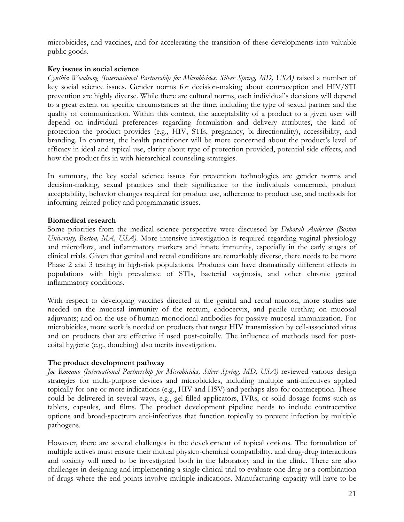microbicides, and vaccines, and for accelerating the transition of these developments into valuable public goods.

### **Key issues in social science**

*Cynthia Woodsong (International Partnership for Microbicides, Silver Spring, MD, USA)* raised a number of key social science issues. Gender norms for decision-making about contraception and HIV/STI prevention are highly diverse. While there are cultural norms, each individual's decisions will depend to a great extent on specific circumstances at the time, including the type of sexual partner and the quality of communication. Within this context, the acceptability of a product to a given user will depend on individual preferences regarding formulation and delivery attributes, the kind of protection the product provides (e.g., HIV, STIs, pregnancy, bi-directionality), accessibility, and branding. In contrast, the health practitioner will be more concerned about the product's level of efficacy in ideal and typical use, clarity about type of protection provided, potential side effects, and how the product fits in with hierarchical counseling strategies.

In summary, the key social science issues for prevention technologies are gender norms and decision-making, sexual practices and their significance to the individuals concerned, product acceptability, behavior changes required for product use, adherence to product use, and methods for informing related policy and programmatic issues.

### **Biomedical research**

Some priorities from the medical science perspective were discussed by *Deborah Anderson (Boston University, Boston, MA, USA)*. More intensive investigation is required regarding vaginal physiology and microflora, and inflammatory markers and innate immunity, especially in the early stages of clinical trials. Given that genital and rectal conditions are remarkably diverse, there needs to be more Phase 2 and 3 testing in high-risk populations. Products can have dramatically different effects in populations with high prevalence of STIs, bacterial vaginosis, and other chronic genital inflammatory conditions.

With respect to developing vaccines directed at the genital and rectal mucosa, more studies are needed on the mucosal immunity of the rectum, endocervix, and penile urethra; on mucosal adjuvants; and on the use of human monoclonal antibodies for passive mucosal immunization. For microbicides, more work is needed on products that target HIV transmission by cell-associated virus and on products that are effective if used post-coitally. The influence of methods used for postcoital hygiene (e.g., douching) also merits investigation.

### **The product development pathway**

Joe Romano (International Partnership for Microbicides, Silver Spring, MD, USA) reviewed various design strategies for multi-purpose devices and microbicides, including multiple anti-infectives applied topically for one or more indications (e.g., HIV and HSV) and perhaps also for contraception. These could be delivered in several ways, e.g., gel-filled applicators, IVRs, or solid dosage forms such as tablets, capsules, and films. The product development pipeline needs to include contraceptive options and broad-spectrum anti-infectives that function topically to prevent infection by multiple pathogens.

However, there are several challenges in the development of topical options. The formulation of multiple actives must ensure their mutual physico-chemical compatibility, and drug-drug interactions and toxicity will need to be investigated both in the laboratory and in the clinic. There are also challenges in designing and implementing a single clinical trial to evaluate one drug or a combination of drugs where the end-points involve multiple indications. Manufacturing capacity will have to be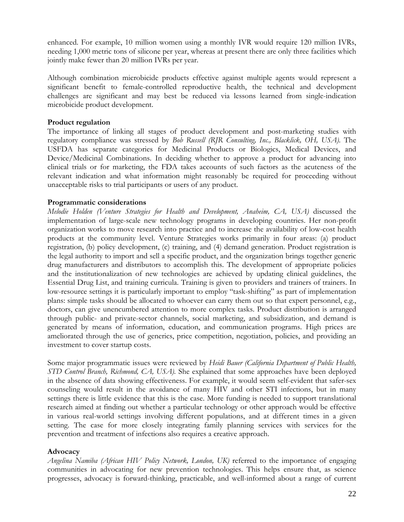enhanced. For example, 10 million women using a monthly IVR would require 120 million IVRs, needing 1,000 metric tons of silicone per year, whereas at present there are only three facilities which jointly make fewer than 20 million IVRs per year.

Although combination microbicide products effective against multiple agents would represent a significant benefit to female-controlled reproductive health, the technical and development challenges are significant and may best be reduced via lessons learned from single-indication microbicide product development.

### **Product regulation**

The importance of linking all stages of product development and post-marketing studies with regulatory compliance was stressed by *Bob Russell (RJR Consulting, Inc., Blacklick, OH, USA).* The USFDA has separate categories for Medicinal Products or Biologics, Medical Devices, and Device/Medicinal Combinations. In deciding whether to approve a product for advancing into clinical trials or for marketing, the FDA takes accounts of such factors as the acuteness of the relevant indication and what information might reasonably be required for proceeding without unacceptable risks to trial participants or users of any product.

### **Programmatic considerations**

*Melodie Holden (Venture Strategies for Health and Development, Anaheim, CA, USA)* discussed the implementation of large-scale new technology programs in developing countries. Her non-profit organization works to move research into practice and to increase the availability of low-cost health products at the community level. Venture Strategies works primarily in four areas: (a) product registration, (b) policy development, (c) training, and (4) demand generation. Product registration is the legal authority to import and sell a specific product, and the organization brings together generic drug manufacturers and distributors to accomplish this. The development of appropriate policies and the institutionalization of new technologies are achieved by updating clinical guidelines, the Essential Drug List, and training curricula. Training is given to providers and trainers of trainers. In low-resource settings it is particularly important to employ "task-shifting" as part of implementation plans: simple tasks should be allocated to whoever can carry them out so that expert personnel, e.g., doctors, can give unencumbered attention to more complex tasks. Product distribution is arranged through public- and private-sector channels, social marketing, and subsidization, and demand is generated by means of information, education, and communication programs. High prices are ameliorated through the use of generics, price competition, negotiation, policies, and providing an investment to cover startup costs.

Some major programmatic issues were reviewed by *Heidi Bauer (California Department of Public Health, STD Control Branch, Richmond, CA, USA).* She explained that some approaches have been deployed in the absence of data showing effectiveness. For example, it would seem self-evident that safer-sex counseling would result in the avoidance of many HIV and other STI infections, but in many settings there is little evidence that this is the case. More funding is needed to support translational research aimed at finding out whether a particular technology or other approach would be effective in various real-world settings involving different populations, and at different times in a given setting. The case for more closely integrating family planning services with services for the prevention and treatment of infections also requires a creative approach.

### **Advocacy**

*Angelina Namiba (African HIV Policy Network, London, UK)* referred to the importance of engaging communities in advocating for new prevention technologies. This helps ensure that, as science progresses, advocacy is forward-thinking, practicable, and well-informed about a range of current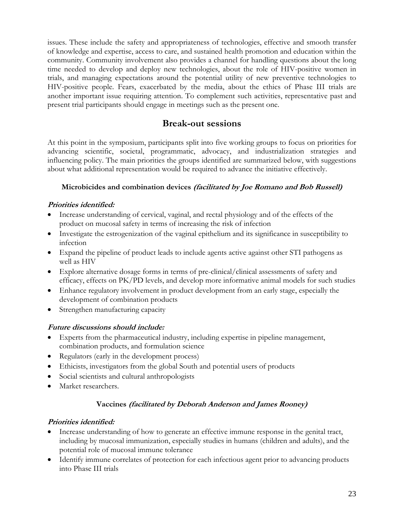issues. These include the safety and appropriateness of technologies, effective and smooth transfer of knowledge and expertise, access to care, and sustained health promotion and education within the community. Community involvement also provides a channel for handling questions about the long time needed to develop and deploy new technologies, about the role of HIV-positive women in trials, and managing expectations around the potential utility of new preventive technologies to HIV-positive people. Fears, exacerbated by the media, about the ethics of Phase III trials are another important issue requiring attention. To complement such activities, representative past and present trial participants should engage in meetings such as the present one.

# **Break-out sessions**

At this point in the symposium, participants split into five working groups to focus on priorities for advancing scientific, societal, programmatic, advocacy, and industrialization strategies and influencing policy. The main priorities the groups identified are summarized below, with suggestions about what additional representation would be required to advance the initiative effectively.

# **Microbicides and combination devices (facilitated by Joe Romano and Bob Russell)**

# **Priorities identified:**

- Increase understanding of cervical, vaginal, and rectal physiology and of the effects of the product on mucosal safety in terms of increasing the risk of infection
- Investigate the estrogenization of the vaginal epithelium and its significance in susceptibility to infection
- Expand the pipeline of product leads to include agents active against other STI pathogens as well as HIV
- Explore alternative dosage forms in terms of pre-clinical/clinical assessments of safety and efficacy, effects on PK/PD levels, and develop more informative animal models for such studies
- Enhance regulatory involvement in product development from an early stage, especially the development of combination products
- Strengthen manufacturing capacity

# **Future discussions should include:**

- Experts from the pharmaceutical industry, including expertise in pipeline management, combination products, and formulation science
- Regulators (early in the development process)
- Ethicists, investigators from the global South and potential users of products
- Social scientists and cultural anthropologists
- Market researchers.

# **Vaccines (facilitated by Deborah Anderson and James Rooney)**

## **Priorities identified:**

- Increase understanding of how to generate an effective immune response in the genital tract, including by mucosal immunization, especially studies in humans (children and adults), and the potential role of mucosal immune tolerance
- Identify immune correlates of protection for each infectious agent prior to advancing products into Phase III trials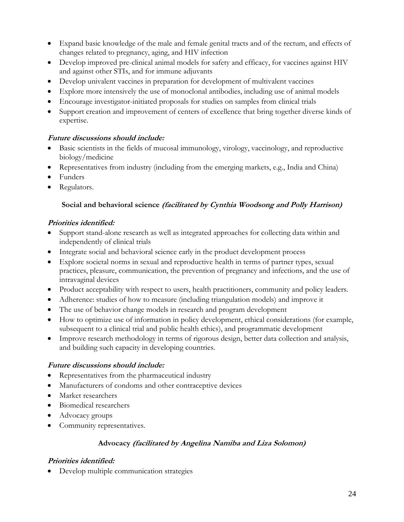- Expand basic knowledge of the male and female genital tracts and of the rectum, and effects of changes related to pregnancy, aging, and HIV infection
- Develop improved pre-clinical animal models for safety and efficacy, for vaccines against HIV and against other STIs, and for immune adjuvants
- Develop univalent vaccines in preparation for development of multivalent vaccines
- Explore more intensively the use of monoclonal antibodies, including use of animal models
- Encourage investigator-initiated proposals for studies on samples from clinical trials
- Support creation and improvement of centers of excellence that bring together diverse kinds of expertise.

## **Future discussions should include:**

- Basic scientists in the fields of mucosal immunology, virology, vaccinology, and reproductive biology/medicine
- Representatives from industry (including from the emerging markets, e.g., India and China)
- Funders
- Regulators.

# **Social and behavioral science (facilitated by Cynthia Woodsong and Polly Harrison)**

# **Priorities identified:**

- Support stand-alone research as well as integrated approaches for collecting data within and independently of clinical trials
- Integrate social and behavioral science early in the product development process
- Explore societal norms in sexual and reproductive health in terms of partner types, sexual practices, pleasure, communication, the prevention of pregnancy and infections, and the use of intravaginal devices
- Product acceptability with respect to users, health practitioners, community and policy leaders.
- Adherence: studies of how to measure (including triangulation models) and improve it
- The use of behavior change models in research and program development
- How to optimize use of information in policy development, ethical considerations (for example, subsequent to a clinical trial and public health ethics), and programmatic development
- Improve research methodology in terms of rigorous design, better data collection and analysis, and building such capacity in developing countries.

## **Future discussions should include:**

- Representatives from the pharmaceutical industry
- Manufacturers of condoms and other contraceptive devices
- Market researchers
- Biomedical researchers
- Advocacy groups
- Community representatives.

## **Advocacy (facilitated by Angelina Namiba and Liza Solomon)**

# **Priorities identified:**

• Develop multiple communication strategies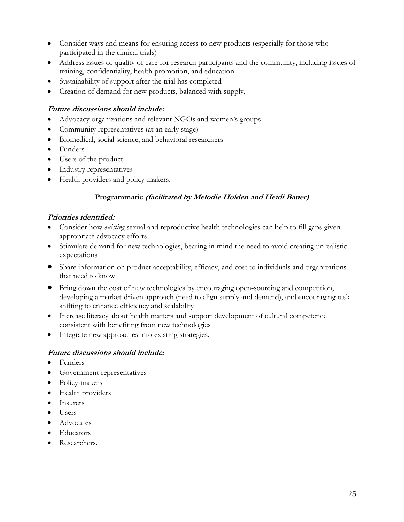- Consider ways and means for ensuring access to new products (especially for those who participated in the clinical trials)
- Address issues of quality of care for research participants and the community, including issues of training, confidentiality, health promotion, and education
- Sustainability of support after the trial has completed
- Creation of demand for new products, balanced with supply.

### **Future discussions should include:**

- Advocacy organizations and relevant NGOs and women's groups
- Community representatives (at an early stage)
- Biomedical, social science, and behavioral researchers
- Funders
- Users of the product
- Industry representatives
- Health providers and policy-makers.

### **Programmatic (facilitated by Melodie Holden and Heidi Bauer)**

### **Priorities identified:**

- Consider how *existing* sexual and reproductive health technologies can help to fill gaps given appropriate advocacy efforts
- Stimulate demand for new technologies, bearing in mind the need to avoid creating unrealistic expectations
- Share information on product acceptability, efficacy, and cost to individuals and organizations that need to know
- Bring down the cost of new technologies by encouraging open-sourcing and competition, developing a market-driven approach (need to align supply and demand), and encouraging taskshifting to enhance efficiency and scalability
- Increase literacy about health matters and support development of cultural competence consistent with benefiting from new technologies
- Integrate new approaches into existing strategies.

### **Future discussions should include:**

- Funders
- Government representatives
- Policy-makers
- Health providers
- Insurers
- Users
- Advocates
- Educators
- Researchers.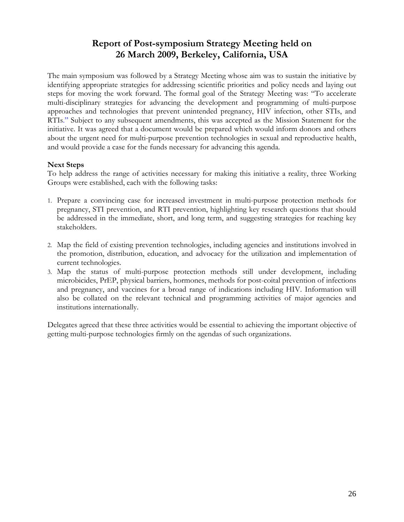# **Report of Post-symposium Strategy Meeting held on 26 March 2009, Berkeley, California, USA**

The main symposium was followed by a Strategy Meeting whose aim was to sustain the initiative by identifying appropriate strategies for addressing scientific priorities and policy needs and laying out steps for moving the work forward. The formal goal of the Strategy Meeting was: "To accelerate multi-disciplinary strategies for advancing the development and programming of multi-purpose approaches and technologies that prevent unintended pregnancy, HIV infection, other STIs, and RTIs." Subject to any subsequent amendments, this was accepted as the Mission Statement for the initiative. It was agreed that a document would be prepared which would inform donors and others about the urgent need for multi-purpose prevention technologies in sexual and reproductive health, and would provide a case for the funds necessary for advancing this agenda.

### **Next Steps**

To help address the range of activities necessary for making this initiative a reality, three Working Groups were established, each with the following tasks:

- 1. Prepare a convincing case for increased investment in multi-purpose protection methods for pregnancy, STI prevention, and RTI prevention, highlighting key research questions that should be addressed in the immediate, short, and long term, and suggesting strategies for reaching key stakeholders.
- 2. Map the field of existing prevention technologies, including agencies and institutions involved in the promotion, distribution, education, and advocacy for the utilization and implementation of current technologies.
- 3. Map the status of multi-purpose protection methods still under development, including microbicides, PrEP, physical barriers, hormones, methods for post-coital prevention of infections and pregnancy, and vaccines for a broad range of indications including HIV. Information will also be collated on the relevant technical and programming activities of major agencies and institutions internationally.

Delegates agreed that these three activities would be essential to achieving the important objective of getting multi-purpose technologies firmly on the agendas of such organizations.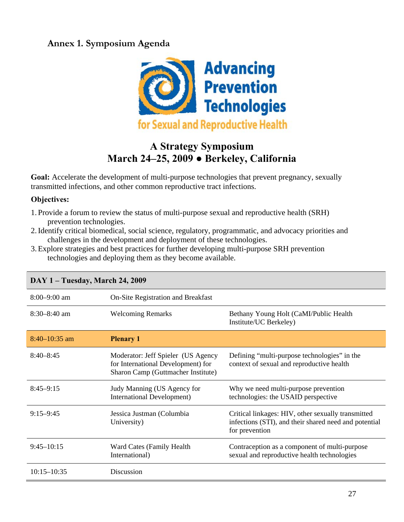# **Annex 1. Symposium Agenda**



# **A Strategy Symposium March 24–25, 2009 ● Berkeley, California**

Goal: Accelerate the development of multi-purpose technologies that prevent pregnancy, sexually transmitted infections, and other common reproductive tract infections.

# **Objectives:**

- 1. Provide a forum to review the status of multi-purpose sexual and reproductive health (SRH) prevention technologies.
- 2.Identify critical biomedical, social science, regulatory, programmatic, and advocacy priorities and challenges in the development and deployment of these technologies.
- 3.Explore strategies and best practices for further developing multi-purpose SRH prevention technologies and deploying them as they become available.

| $8:00 - 9:00$ am | On-Site Registration and Breakfast                                                                             |                                                                                                                               |
|------------------|----------------------------------------------------------------------------------------------------------------|-------------------------------------------------------------------------------------------------------------------------------|
| $8:30 - 8:40$ am | <b>Welcoming Remarks</b>                                                                                       | Bethany Young Holt (CaMI/Public Health<br>Institute/UC Berkeley)                                                              |
| $8:40-10:35$ am  | <b>Plenary 1</b>                                                                                               |                                                                                                                               |
| $8:40 - 8:45$    | Moderator: Jeff Spieler (US Agency<br>for International Development) for<br>Sharon Camp (Guttmacher Institute) | Defining "multi-purpose technologies" in the<br>context of sexual and reproductive health                                     |
| $8:45-9:15$      | Judy Manning (US Agency for<br><b>International Development)</b>                                               | Why we need multi-purpose prevention<br>technologies: the USAID perspective                                                   |
| $9:15 - 9:45$    | Jessica Justman (Columbia<br>University)                                                                       | Critical linkages: HIV, other sexually transmitted<br>infections (STI), and their shared need and potential<br>for prevention |
| $9:45 - 10:15$   | Ward Cates (Family Health<br>International)                                                                    | Contraception as a component of multi-purpose<br>sexual and reproductive health technologies                                  |
| $10:15 - 10:35$  | Discussion                                                                                                     |                                                                                                                               |

# **DAY 1 – Tuesday, March 24, 2009**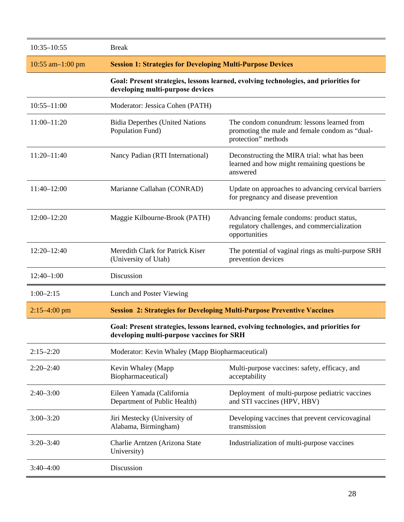| $10:35 - 10:55$       | <b>Break</b>                                                                                                             |                                                                                                                     |
|-----------------------|--------------------------------------------------------------------------------------------------------------------------|---------------------------------------------------------------------------------------------------------------------|
| $10:55$ am $-1:00$ pm | <b>Session 1: Strategies for Developing Multi-Purpose Devices</b>                                                        |                                                                                                                     |
|                       | Goal: Present strategies, lessons learned, evolving technologies, and priorities for<br>developing multi-purpose devices |                                                                                                                     |
| $10:55 - 11:00$       | Moderator: Jessica Cohen (PATH)                                                                                          |                                                                                                                     |
| $11:00 - 11:20$       | <b>Bidia Deperthes (United Nations</b><br>Population Fund)                                                               | The condom conundrum: lessons learned from<br>promoting the male and female condom as "dual-<br>protection" methods |
| $11:20 - 11:40$       | Nancy Padian (RTI International)                                                                                         | Deconstructing the MIRA trial: what has been<br>learned and how might remaining questions be<br>answered            |
| 11:40-12:00           | Marianne Callahan (CONRAD)                                                                                               | Update on approaches to advancing cervical barriers<br>for pregnancy and disease prevention                         |
| $12:00 - 12:20$       | Maggie Kilbourne-Brook (PATH)                                                                                            | Advancing female condoms: product status,<br>regulatory challenges, and commercialization<br>opportunities          |
| 12:20-12:40           | Meredith Clark for Patrick Kiser<br>(University of Utah)                                                                 | The potential of vaginal rings as multi-purpose SRH<br>prevention devices                                           |
| $12:40-1:00$          | Discussion                                                                                                               |                                                                                                                     |
| $1:00-2:15$           | Lunch and Poster Viewing                                                                                                 |                                                                                                                     |
| $2:15-4:00$ pm        | <b>Session 2: Strategies for Developing Multi-Purpose Preventive Vaccines</b>                                            |                                                                                                                     |
|                       | developing multi-purpose vaccines for SRH                                                                                | Goal: Present strategies, lessons learned, evolving technologies, and priorities for                                |
| $2:15 - 2:20$         | Moderator: Kevin Whaley (Mapp Biopharmaceutical)                                                                         |                                                                                                                     |
| $2:20 - 2:40$         | Kevin Whaley (Mapp<br>Biopharmaceutical)                                                                                 | Multi-purpose vaccines: safety, efficacy, and<br>acceptability                                                      |
| $2:40 - 3:00$         | Eileen Yamada (California<br>Department of Public Health)                                                                | Deployment of multi-purpose pediatric vaccines<br>and STI vaccines (HPV, HBV)                                       |
| $3:00 - 3:20$         | Jiri Mestecky (University of<br>Alabama, Birmingham)                                                                     | Developing vaccines that prevent cervicovaginal<br>transmission                                                     |
| $3:20 - 3:40$         | Charlie Arntzen (Arizona State<br>University)                                                                            | Industrialization of multi-purpose vaccines                                                                         |
| $3:40 - 4:00$         | Discussion                                                                                                               |                                                                                                                     |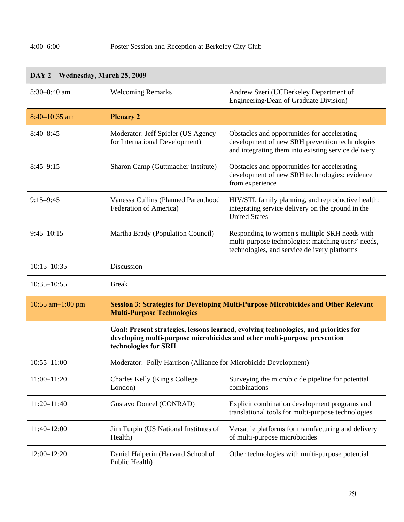# 4:00–6:00 Poster Session and Reception at Berkeley City Club

| DAY 2 – Wednesday, March 25, 2009 |                                                                      |                                                                                                                                                                  |
|-----------------------------------|----------------------------------------------------------------------|------------------------------------------------------------------------------------------------------------------------------------------------------------------|
| $8:30-8:40$ am                    | <b>Welcoming Remarks</b>                                             | Andrew Szeri (UCBerkeley Department of<br>Engineering/Dean of Graduate Division)                                                                                 |
| $8:40 - 10:35$ am                 | <b>Plenary 2</b>                                                     |                                                                                                                                                                  |
| $8:40 - 8:45$                     | Moderator: Jeff Spieler (US Agency<br>for International Development) | Obstacles and opportunities for accelerating<br>development of new SRH prevention technologies<br>and integrating them into existing service delivery            |
| $8:45-9:15$                       | Sharon Camp (Guttmacher Institute)                                   | Obstacles and opportunities for accelerating<br>development of new SRH technologies: evidence<br>from experience                                                 |
| $9:15 - 9:45$                     | Vanessa Cullins (Planned Parenthood<br>Federation of America)        | HIV/STI, family planning, and reproductive health:<br>integrating service delivery on the ground in the<br><b>United States</b>                                  |
| $9:45 - 10:15$                    | Martha Brady (Population Council)                                    | Responding to women's multiple SRH needs with<br>multi-purpose technologies: matching users' needs,<br>technologies, and service delivery platforms              |
| $10:15 - 10:35$                   | Discussion                                                           |                                                                                                                                                                  |
| $10:35 - 10:55$                   | <b>Break</b>                                                         |                                                                                                                                                                  |
| $10:55$ am $-1:00$ pm             | <b>Multi-Purpose Technologies</b>                                    | <b>Session 3: Strategies for Developing Multi-Purpose Microbicides and Other Relevant</b>                                                                        |
|                                   | technologies for SRH                                                 | Goal: Present strategies, lessons learned, evolving technologies, and priorities for<br>developing multi-purpose microbicides and other multi-purpose prevention |
| $10:55 - 11:00$                   | Moderator: Polly Harrison (Alliance for Microbicide Development)     |                                                                                                                                                                  |
| $11:00 - 11:20$                   | Charles Kelly (King's College<br>London)                             | Surveying the microbicide pipeline for potential<br>combinations                                                                                                 |
| $11:20 - 11:40$                   | Gustavo Doncel (CONRAD)                                              | Explicit combination development programs and<br>translational tools for multi-purpose technologies                                                              |
| 11:40-12:00                       | Jim Turpin (US National Institutes of<br>Health)                     | Versatile platforms for manufacturing and delivery<br>of multi-purpose microbicides                                                                              |
| 12:00-12:20                       | Daniel Halperin (Harvard School of<br>Public Health)                 | Other technologies with multi-purpose potential                                                                                                                  |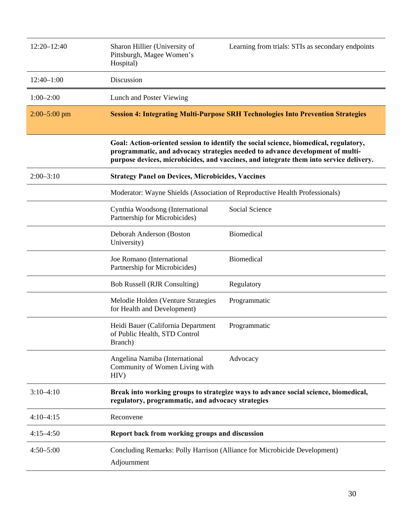| $12:20 - 12:40$  | Sharon Hillier (University of<br>Pittsburgh, Magee Women's<br>Hospital)                                                                                                                                                                                          | Learning from trials: STIs as secondary endpoints                                       |
|------------------|------------------------------------------------------------------------------------------------------------------------------------------------------------------------------------------------------------------------------------------------------------------|-----------------------------------------------------------------------------------------|
| $12:40-1:00$     | Discussion                                                                                                                                                                                                                                                       |                                                                                         |
| $1:00 - 2:00$    | Lunch and Poster Viewing                                                                                                                                                                                                                                         |                                                                                         |
| $2:00 - 5:00$ pm |                                                                                                                                                                                                                                                                  | <b>Session 4: Integrating Multi-Purpose SRH Technologies Into Prevention Strategies</b> |
|                  | Goal: Action-oriented session to identify the social science, biomedical, regulatory,<br>programmatic, and advocacy strategies needed to advance development of multi-<br>purpose devices, microbicides, and vaccines, and integrate them into service delivery. |                                                                                         |
| $2:00 - 3:10$    | <b>Strategy Panel on Devices, Microbicides, Vaccines</b>                                                                                                                                                                                                         |                                                                                         |
|                  | Moderator: Wayne Shields (Association of Reproductive Health Professionals)                                                                                                                                                                                      |                                                                                         |
|                  | Cynthia Woodsong (International<br>Partnership for Microbicides)                                                                                                                                                                                                 | Social Science                                                                          |
|                  | Deborah Anderson (Boston<br>University)                                                                                                                                                                                                                          | Biomedical                                                                              |
|                  | Joe Romano (International<br>Partnership for Microbicides)                                                                                                                                                                                                       | Biomedical                                                                              |
|                  | <b>Bob Russell (RJR Consulting)</b>                                                                                                                                                                                                                              | Regulatory                                                                              |
|                  | Melodie Holden (Venture Strategies<br>for Health and Development)                                                                                                                                                                                                | Programmatic                                                                            |
|                  | Heidi Bauer (California Department<br>of Public Health, STD Control<br>Branch)                                                                                                                                                                                   | Programmatic                                                                            |
|                  | Angelina Namiba (International<br>Community of Women Living with<br>HIV)                                                                                                                                                                                         | Advocacy                                                                                |
| $3:10-4:10$      | Break into working groups to strategize ways to advance social science, biomedical,<br>regulatory, programmatic, and advocacy strategies                                                                                                                         |                                                                                         |
| $4:10-4:15$      | Reconvene                                                                                                                                                                                                                                                        |                                                                                         |
| $4:15-4:50$      | Report back from working groups and discussion                                                                                                                                                                                                                   |                                                                                         |
| $4:50 - 5:00$    | Concluding Remarks: Polly Harrison (Alliance for Microbicide Development)<br>Adjournment                                                                                                                                                                         |                                                                                         |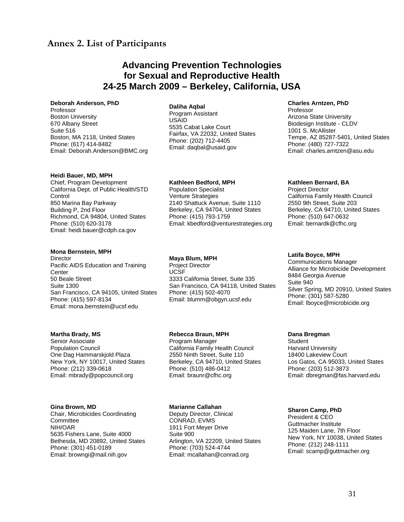# **Annex 2. List of Participants**

# **Advancing Prevention Technologies for Sexual and Reproductive Health 24-25 March 2009 – Berkeley, California, USA**

#### **Deborah Anderson, PhD**  Professor Boston University 670 Albany Street Suite 516 Boston, MA 2118, United States Phone: (617) 414-8482 Email: Deborah.Anderson@BMC.org

#### **Heidi Bauer, MD, MPH**

Chief, Program Development California Dept. of Public Health/STD **Control** 850 Marina Bay Parkway Building P, 2nd Floor Richmond, CA 94804, United States Phone: (510) 620-3178 Email: heidi.bauer@cdph.ca.gov

#### **Mona Bernstein, MPH**

**Director** Pacific AIDS Education and Training **Center** 50 Beale Street Suite 1300 San Francisco, CA 94105, United States Phone: (415) 597-8134 Email: mona.bernstein@ucsf.edu

#### **Martha Brady, MS**

Senior Associate Population Council One Dag Hammarskjold Plaza New York, NY 10017, United States Phone: (212) 339-0618 Email: mbrady@popcouncil.org

#### **Gina Brown, MD**

Chair, Microbicides Coordinating **Committee** NIH/OAR 5635 Fishers Lane, Suite 4000 Bethesda, MD 20892, United States Phone: (301) 451-0189 Email: browngi@mail.nih.gov

#### **Daliha Aqbal**

Program Assistant USAID 5535 Cabat Lake Court Fairfax, VA 22032, United States Phone: (202) 712-4405 Email: daqbal@usaid.gov

#### **Kathleen Bedford, MPH**

Population Specialist Venture Strategies 2140 Shattuck Avenue, Suite 1110 Berkeley, CA 94704, United States Phone: (415) 793-1759 Email: kbedford@venturestrategies.org

#### **Maya Blum, MPH**

Project Director UCSF 3333 California Street, Suite 335 San Francisco, CA 94118, United States Phone: (415) 502-4070 Email: blumm@obgyn.ucsf.edu

#### **Rebecca Braun, MPH**

Program Manager California Family Health Council 2550 Ninth Street, Suite 110 Berkeley, CA 94710, United States Phone: (510) 486-0412 Email: braunr@cfhc.org

#### **Marianne Callahan**

Deputy Director, Clinical CONRAD, EVMS 1911 Fort Meyer Drive Suite 900 Arlington, VA 22209, United States Phone: (703) 524-4744 Email: mcallahan@conrad.org

#### **Charles Arntzen, PhD**

Professor Arizona State University Biodesign Institute - CLDV 1001 S. McAllister Tempe, AZ 85287-5401, United States Phone: (480) 727-7322 Email: charles.arntzen@asu.edu

#### **Kathleen Bernard, BA**

Project Director California Family Health Council 2550 9th Street, Suite 203 Berkeley, CA 94710, United States Phone: (510) 647-0632 Email: bernardk@cfhc.org

#### **Latifa Boyce, MPH**

Communications Manager Alliance for Microbicide Development 8484 Georgia Avenue Suite 940 Silver Spring, MD 20910, United States Phone: (301) 587-5280 Email: lboyce@microbicide.org

#### **Dana Bregman**

**Student** Harvard University 18400 Lakeview Court Los Gatos, CA 95033, United States Phone: (203) 512-3873 Email: dbregman@fas.harvard.edu

#### **Sharon Camp, PhD**

President & CEO Guttmacher Institute 125 Maiden Lane, 7th Floor New York, NY 10038, United States Phone: (212) 248-1111 Email: scamp@guttmacher.org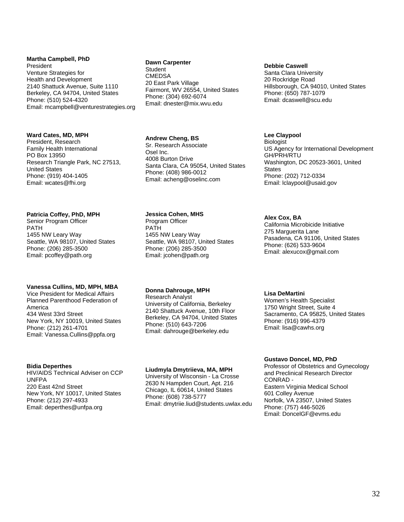**Martha Campbell, PhD**  President Venture Strategies for Health and Development 2140 Shattuck Avenue, Suite 1110 Berkeley, CA 94704, United States Phone: (510) 524-4320 Email: mcampbell@venturestrategies.org

#### **Ward Cates, MD, MPH**

President, Research Family Health International PO Box 13950 Research Triangle Park, NC 27513, United States Phone: (919) 404-1405 Email: wcates@fhi.org

#### **Patricia Coffey, PhD, MPH**

Senior Program Officer PATH 1455 NW Leary Way Seattle, WA 98107, United States Phone: (206) 285-3500 Email: pcoffey@path.org

#### **Vanessa Cullins, MD, MPH, MBA**

Vice President for Medical Affairs Planned Parenthood Federation of America 434 West 33rd Street New York, NY 10019, United States Phone: (212) 261-4701 Email: Vanessa.Cullins@ppfa.org

#### **Bidia Deperthes**

HIV/AIDS Technical Adviser on CCP UNFPA 220 East 42nd Street New York, NY 10017, United States Phone: (212) 297-4933 Email: deperthes@unfpa.org

#### **Dawn Carpenter**

**Student CMEDSA** 20 East Park Village Fairmont, WV 26554, United States Phone: (304) 692-6074 Email: dnester@mix.wvu.edu

#### **Andrew Cheng, BS**

Sr. Research Associate Osel Inc. 4008 Burton Drive Santa Clara, CA 95054, United States Phone: (408) 986-0012 Email: acheng@oselinc.com

#### **Jessica Cohen, MHS**

Program Officer PATH 1455 NW Leary Way Seattle, WA 98107, United States Phone: (206) 285-3500 Email: jcohen@path.org

#### **Donna Dahrouge, MPH**

Research Analyst University of California, Berkeley 2140 Shattuck Avenue, 10th Floor Berkeley, CA 94704, United States Phone: (510) 643-7206 Email: dahrouge@berkeley.edu

#### **Liudmyla Dmytriieva, MA, MPH**

University of Wisconsin - La Crosse 2630 N Hampden Court, Apt. 216 Chicago, IL 60614, United States Phone: (608) 738-5777 Email: dmytriie.liud@students.uwlax.edu

#### **Debbie Caswell**

Santa Clara University 20 Rockridge Road Hillsborough, CA 94010, United States Phone: (650) 787-1079 Email: dcaswell@scu.edu

#### **Lee Claypool**

Biologist US Agency for International Development GH/PRH/RTU Washington, DC 20523-3601, United **States** Phone: (202) 712-0334 Email: lclaypool@usaid.gov

#### **Alex Cox, BA**

California Microbicide Initiative 275 Marguerita Lane Pasadena, CA 91106, United States Phone: (626) 533-9604 Email: alexucox@gmail.com

#### **Lisa DeMartini**

Women's Health Specialist 1750 Wright Street, Suite 4 Sacramento, CA 95825, United States Phone: (916) 996-4379 Email: lisa@cawhs.org

#### **Gustavo Doncel, MD, PhD**

Professor of Obstetrics and Gynecology and Preclinical Research Director CONRAD - Eastern Virginia Medical School 601 Colley Avenue Norfolk, VA 23507, United States Phone: (757) 446-5026 Email: DoncelGF@evms.edu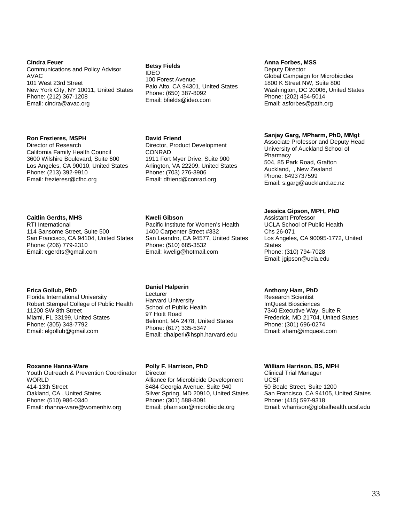#### **Cindra Feuer**

Communications and Policy Advisor AVAC 101 West 23rd Street New York City, NY 10011, United States Phone: (212) 367-1208 Email: cindra@avac.org

#### **Ron Frezieres, MSPH**

Director of Research California Family Health Council 3600 Wilshire Boulevard, Suite 600 Los Angeles, CA 90010, United States Phone: (213) 392-9910 Email: frezieresr@cfhc.org

#### **Caitlin Gerdts, MHS**

RTI International 114 Sansome Street, Suite 500 San Francisco, CA 94104, United States Phone: (206) 779-2310 Email: cgerdts@gmail.com

#### **Erica Gollub, PhD**

Florida International University Robert Stempel College of Public Health 11200 SW 8th Street Miami, FL 33199, United States Phone: (305) 348-7792 Email: elgollub@gmail.com

#### **Roxanne Hanna-Ware**

Youth Outreach & Prevention Coordinator **WORLD** 414-13th Street Oakland, CA , United States Phone: (510) 986-0340 Email: rhanna-ware@womenhiv.org

#### **Betsy Fields**

IDEO 100 Forest Avenue Palo Alto, CA 94301, United States Phone: (650) 387-8092 Email: bfields@ideo.com

#### **David Friend**

Director, Product Development CONRAD 1911 Fort Myer Drive, Suite 900 Arlington, VA 22209, United States Phone: (703) 276-3906 Email: dfriend@conrad.org

#### **Kweli Gibson**

Pacific Institute for Women's Health 1400 Carpenter Street #332 San Leandro, CA 94577, United States Phone: (510) 685-3532 Email: kwelig@hotmail.com

#### **Daniel Halperin**

**Lecturer** Harvard University School of Public Health 97 Hoitt Road Belmont, MA 2478, United States Phone: (617) 335-5347 Email: dhalperi@hsph.harvard.edu

#### **Polly F. Harrison, PhD**

**Director** Alliance for Microbicide Development 8484 Georgia Avenue, Suite 940 Silver Spring, MD 20910, United States Phone: (301) 588-8091 Email: pharrison@microbicide.org

#### **Anna Forbes, MSS**

Deputy Director Global Campaign for Microbicides 1800 K Street NW, Suite 800 Washington, DC 20006, United States Phone: (202) 454-5014 Email: asforbes@path.org

#### **Sanjay Garg, MPharm, PhD, MMgt**

Associate Professor and Deputy Head University of Auckland School of **Pharmacy** 504, 85 Park Road, Grafton Auckland, , New Zealand Phone: 6493737599 Email: s.garg@auckland.ac.nz

#### **Jessica Gipson, MPH, PhD**

Assistant Professor UCLA School of Public Health Chs 26-071 Los Angeles, CA 90095-1772, United **States** Phone: (310) 794-7028 Email: jgipson@ucla.edu

#### **Anthony Ham, PhD**

Research Scientist ImQuest Biosciences 7340 Executive Way, Suite R Frederick, MD 21704, United States Phone: (301) 696-0274 Email: aham@imquest.com

#### **William Harrison, BS, MPH**

Clinical Trial Manager UCSF 50 Beale Street, Suite 1200 San Francisco, CA 94105, United States Phone: (415) 597-9318 Email: wharrison@globalhealth.ucsf.edu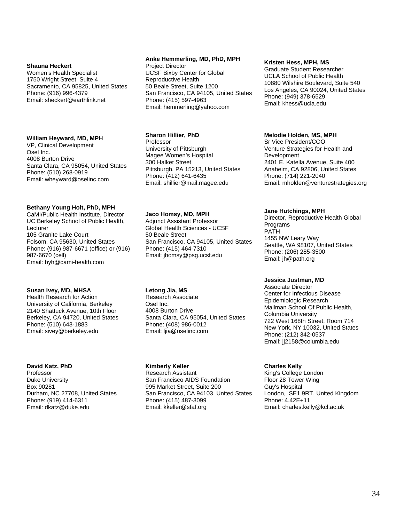#### **Shauna Heckert**

Women's Health Specialist 1750 Wright Street, Suite 4 Sacramento, CA 95825, United States Phone: (916) 996-4379 Email: sheckert@earthlink.net

#### **William Heyward, MD, MPH**

VP, Clinical Development Osel Inc. 4008 Burton Drive Santa Clara, CA 95054, United States Phone: (510) 268-0919 Email: wheyward@oselinc.com

#### **Bethany Young Holt, PhD, MPH**

CaMI/Public Health Institute, Director UC Berkeley School of Public Health, Lecturer 105 Granite Lake Court Folsom, CA 95630, United States Phone: (916) 987-6671 (office) or (916) 987-6670 (cell) Email: byh@cami-health.com

#### **Susan Ivey, MD, MHSA**

Health Research for Action University of California, Berkeley 2140 Shattuck Avenue, 10th Floor Berkeley, CA 94720, United States Phone: (510) 643-1883 Email: sivey@berkeley.edu

#### **David Katz, PhD**

Professor Duke University Box 90281 Durham, NC 27708, United States Phone: (919) 414-6311 Email: dkatz@duke.edu

#### **Anke Hemmerling, MD, PhD, MPH**

Project Director UCSF Bixby Center for Global Reproductive Health 50 Beale Street, Suite 1200 San Francisco, CA 94105, United States Phone: (415) 597-4963 Email: hemmerling@yahoo.com

#### **Sharon Hillier, PhD**

Professor University of Pittsburgh Magee Women's Hospital 300 Halket Street Pittsburgh, PA 15213, United States Phone: (412) 641-6435 Email: shillier@mail.magee.edu

#### **Jaco Homsy, MD, MPH**

Adjunct Assistant Professor Global Health Sciences - UCSF 50 Beale Street San Francisco, CA 94105, United States Phone: (415) 464-7310 Email: jhomsy@psg.ucsf.edu

#### **Letong Jia, MS**

Research Associate Osel Inc. 4008 Burton Drive Santa Clara, CA 95054, United States Phone: (408) 986-0012 Email: ljia@oselinc.com

#### **Kimberly Keller**

Research Assistant San Francisco AIDS Foundation 995 Market Street, Suite 200 San Francisco, CA 94103, United States Phone: (415) 487-3099 Email: kkeller@sfaf.org

#### **Kristen Hess, MPH, MS**

Graduate Student Researcher UCLA School of Public Health 10880 Wilshire Boulevard, Suite 540 Los Angeles, CA 90024, United States Phone: (949) 378-6529 Email: khess@ucla.edu

#### **Melodie Holden, MS, MPH**

Sr Vice President/COO Venture Strategies for Health and Development 2401 E. Katella Avenue, Suite 400 Anaheim, CA 92806, United States Phone: (714) 221-2040 Email: mholden@venturestrategies.org

#### **Jane Hutchings, MPH**

Director, Reproductive Health Global Programs PATH 1455 NW Leary Way Seattle, WA 98107, United States Phone: (206) 285-3500 Email: jh@path.org

#### **Jessica Justman, MD**

Associate Director Center for Infectious Disease Epidemiologic Research Mailman School Of Public Health, Columbia University 722 West 168th Street, Room 714 New York, NY 10032, United States Phone: (212) 342-0537 Email: jj2158@columbia.edu

#### **Charles Kelly**

King's College London Floor 28 Tower Wing Guy's Hospital London, SE1 9RT, United Kingdom Phone: 4.42E+11 Email: charles.kelly@kcl.ac.uk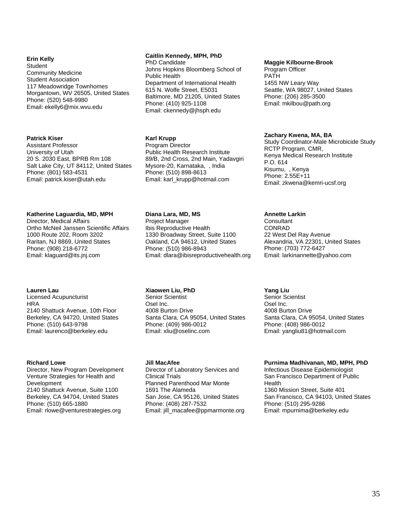#### **Erin Kelly**

**Student** Community Medicine Student Association 117 Meadowridge Townhomes Morgantown, WV 26505, United States Phone: (520) 548-9980 Email: ekelly6@mix.wvu.edu

#### **Patrick Kiser**

Assistant Professor University of Utah 20 S. 2030 East, BPRB Rm 108 Salt Lake City, UT 84112, United States Phone: (801) 583-4531 Email: patrick.kiser@utah.edu

#### **Katherine Laguardia, MD, MPH**

Director, Medical Affairs Ortho McNeil Janssen Scientific Affairs 1000 Route 202, Room 3202 Raritan, NJ 8869, United States Phone: (908) 218-6772 Email: klaguard@its.jnj.com

#### **Lauren Lau**

Licensed Acupuncturist **HRA** 2140 Shattuck Avenue, 10th Floor Berkeley, CA 94720, United States Phone: (510) 643-9798 Email: laurenco@berkeley.edu

#### **Richard Lowe**

Director, New Program Development Venture Strategies for Health and **Development** 2140 Shattuck Avenue, Suite 1100 Berkeley, CA 94704, United States Phone: (510) 665-1880 Email: rlowe@venturestrategies.org

#### **Caitlin Kennedy, MPH, PhD**

PhD Candidate Johns Hopkins Bloomberg School of Public Health Department of International Health 615 N. Wolfe Street, E5031 Baltimore, MD 21205, United States Phone: (410) 925-1108 Email: ckennedy@jhsph.edu

#### **Karl Krupp**

Program Director Public Health Research Institute 89/B, 2nd Cross, 2nd Main, Yadavgiri Mysore-20, Karnataka, , India Phone: (510) 898-8613 Email: karl\_krupp@hotmail.com

#### **Diana Lara, MD, MS**

Project Manager Ibis Reproductive Health 1330 Broadway Street, Suite 1100 Oakland, CA 94612, United States Phone: (510) 986-8943 Email: dlara@ibisreproductivehealth.org

#### **Xiaowen Liu, PhD**

Senior Scientist Osel Inc. 4008 Burton Drive Santa Clara, CA 95054, United States Phone: (409) 986-0012 Email: xliu@oselinc.com

#### **Jill MacAfee**

Director of Laboratory Services and Clinical Trials Planned Parenthood Mar Monte 1691 The Alameda San Jose, CA 95126, United States Phone: (408) 287-7532 Email: jill\_macafee@ppmarmonte.org

#### **Maggie Kilbourne-Brook**

Program Officer PATH 1455 NW Leary Way Seattle, WA 98027, United States Phone: (206) 285-3500 Email: mkilbou@path.org

#### **Zachary Kwena, MA, BA**

Study Coordinator-Male Microbicide Study RCTP Program, CMR, Kenya Medical Research Institute P.O. 614 Kisumu, , Kenya Phone: 2.55E+11 Email: zkwena@kemri-ucsf.org

#### **Annette Larkin**

**Consultant** CONRAD 22 West Del Ray Avenue Alexandria, VA 22301, United States Phone: (703) 772-6427 Email: larkinannette@yahoo.com

#### **Yang Liu**

Senior Scientist Osel Inc. 4008 Burton Drive Santa Clara, CA 95054, United States Phone: (408) 986-0012 Email: yangliu81@hotmail.com

#### **Purnima Madhivanan, MD, MPH, PhD**

Infectious Disease Epidemiologist San Francisco Department of Public **Health** 1360 Mission Street, Suite 401 San Francisco, CA 94103, United States Phone: (510) 295-9286 Email: mpurnima@berkeley.edu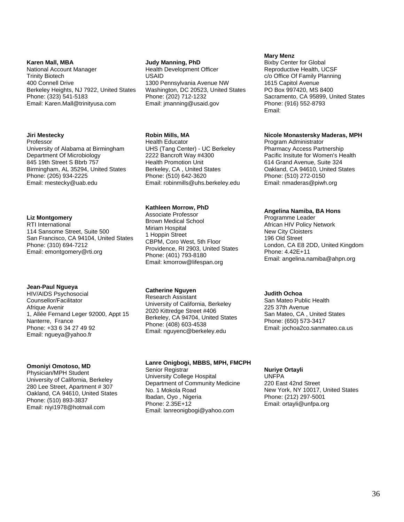#### **Karen Mall, MBA**

National Account Manager Trinity Biotech 400 Connell Drive Berkeley Heights, NJ 7922, United States Phone: (323) 541-5183 Email: Karen.Mall@trinityusa.com

#### **Jiri Mestecky**

Professor University of Alabama at Birmingham Department Of Microbiology 845 19th Street S Bbrb 757 Birmingham, AL 35294, United States Phone: (205) 934-2225 Email: mestecky@uab.edu

#### **Liz Montgomery**

RTI International 114 Sansome Street, Suite 500 San Francisco, CA 94104, United States Phone: (310) 694-7212 Email: emontgomery@rti.org

#### **Jean-Paul Ngueya**

HIV/AIDS Psychosocial Counsellor/Facilitator Afrique Avenir 1, Allée Fernand Leger 92000, Appt 15 Nanterre, France Phone: +33 6 34 27 49 92 Email: ngueya@yahoo.fr

#### **Omoniyi Omotoso, MD**

Physician/MPH Student University of California, Berkeley 280 Lee Street, Apartment # 307 Oakland, CA 94610, United States Phone: (510) 893-3837 Email: niyi1978@hotmail.com

#### **Judy Manning, PhD**

Health Development Officer USAID 1300 Pennsylvania Avenue NW Washington, DC 20523, United States Phone: (202) 712-1232 Email: jmanning@usaid.gov

#### **Robin Mills, MA**

Health Educator UHS (Tang Center) - UC Berkeley 2222 Bancroft Way #4300 Health Promotion Unit Berkeley, CA , United States Phone: (510) 642-3620 Email: robinmills@uhs.berkeley.edu

#### **Kathleen Morrow, PhD**

Associate Professor Brown Medical School Miriam Hospital 1 Hoppin Street CBPM, Coro West, 5th Floor Providence, RI 2903, United States Phone: (401) 793-8180 Email: kmorrow@lifespan.org

#### **Catherine Nguyen**

Research Assistant University of California, Berkeley 2020 Kittredge Street #406 Berkeley, CA 94704, United States Phone: (408) 603-4538 Email: nguyenc@berkeley.edu

#### **Lanre Onigbogi, MBBS, MPH, FMCPH**

Senior Registrar University College Hospital Department of Community Medicine No. 1 Mokola Road Ibadan, Oyo , Nigeria Phone: 2.35E+12 Email: lanreonigbogi@yahoo.com

#### **Mary Menz**

Bixby Center for Global Reproductive Health, UCSF c/o Office Of Family Planning 1615 Capitol Avenue PO Box 997420, MS 8400 Sacramento, CA 95899, United States Phone: (916) 552-8793 Email:

#### **Nicole Monastersky Maderas, MPH**

Program Administrator Pharmacy Access Partnership Pacific Insitute for Women's Health 614 Grand Avenue, Suite 324 Oakland, CA 94610, United States Phone: (510) 272-0150 Email: nmaderas@piwh.org

#### **Angelina Namiba, BA Hons**

Programme Leader African HIV Policy Network New City Cloisters 196 Old Street London, CA E8 2DD, United Kingdom Phone: 4.42E+11 Email: angelina.namiba@ahpn.org

#### **Judith Ochoa**

San Mateo Public Health 225 37th Avenue San Mateo, CA , United States Phone: (650) 573-3417 Email: jochoa2co.sanmateo.ca.us

#### **Nuriye Ortayli**

UNFPA 220 East 42nd Street New York, NY 10017, United States Phone: (212) 297-5001 Email: ortayli@unfpa.org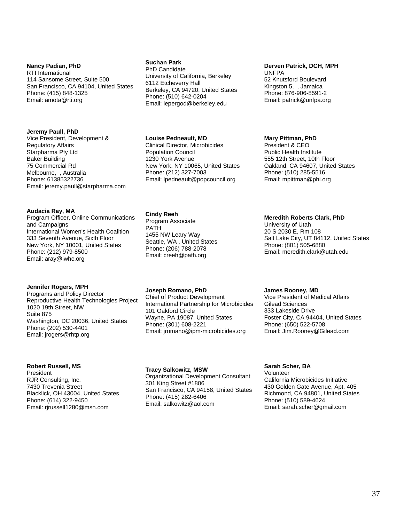#### **Nancy Padian, PhD**

RTI International 114 Sansome Street, Suite 500 San Francisco, CA 94104, United States Phone: (415) 848-1325 Email: amota@rti.org

#### **Jeremy Paull, PhD**

Vice President, Development & Regulatory Affairs Starpharma Pty Ltd Baker Building 75 Commercial Rd Melbourne, , Australia Phone: 61385322736 Email: jeremy.paull@starpharma.com

#### **Audacia Ray, MA**

Program Officer, Online Communications and Campaigns International Women's Health Coalition 333 Seventh Avenue, Sixth Floor New York, NY 10001, United States Phone: (212) 979-8500 Email: aray@iwhc.org

#### **Jennifer Rogers, MPH**

Programs and Policy Director Reproductive Health Technologies Project 1020 19th Street, NW Suite 875 Washington, DC 20036, United States Phone: (202) 530-4401 Email: jrogers@rhtp.org

#### **Robert Russell, MS**

President RJR Consulting, Inc. 7430 Trevenia Street Blacklick, OH 43004, United States Phone: (614) 322-9450 Email: rirussell1280@msn.com

#### **Suchan Park**

PhD Candidate University of California, Berkeley 6112 Etcheverry Hall Berkeley, CA 94720, United States Phone: (510) 642-0204 Email: lepergod@berkeley.edu

#### **Louise Pedneault, MD**

Clinical Director, Microbicides Population Council 1230 York Avenue New York, NY 10065, United States Phone: (212) 327-7003 Email: lpedneault@popcouncil.org

#### **Cindy Reeh**

Program Associate PATH 1455 NW Leary Way Seattle, WA , United States Phone: (206) 788-2078 Email: creeh@path.org

#### **Joseph Romano, PhD**

Chief of Product Development International Partnership for Microbicides 101 Oakford Circle Wayne, PA 19087, United States Phone: (301) 608-2221 Email: jromano@ipm-microbicides.org

#### **Tracy Salkowitz, MSW**

Organizational Development Consultant 301 King Street #1806 San Francisco, CA 94158, United States Phone: (415) 282-6406 Email: salkowitz@aol.com

#### **Derven Patrick, DCH, MPH**  UNFPA

52 Knutsford Boulevard Kingston 5, , Jamaica Phone: 876-906-8591-2 Email: patrick@unfpa.org

#### **Mary Pittman, PhD**

President & CEO Public Health Institute 555 12th Street, 10th Floor Oakland, CA 94607, United States Phone: (510) 285-5516 Email: mpittman@phi.org

#### **Meredith Roberts Clark, PhD**

University of Utah 20 S 2030 E, Rm 108 Salt Lake City, UT 84112, United States Phone: (801) 505-6880 Email: meredith.clark@utah.edu

#### **James Rooney, MD**

Vice President of Medical Affairs Gilead Sciences 333 Lakeside Drive Foster City, CA 94404, United States Phone: (650) 522-5708 Email: Jim.Rooney@Gilead.com

#### **Sarah Scher, BA**

Volunteer California Microbicides Initiative 430 Golden Gate Avenue, Apt. 405 Richmond, CA 94801, United States Phone: (510) 589-4624 Email: sarah.scher@gmail.com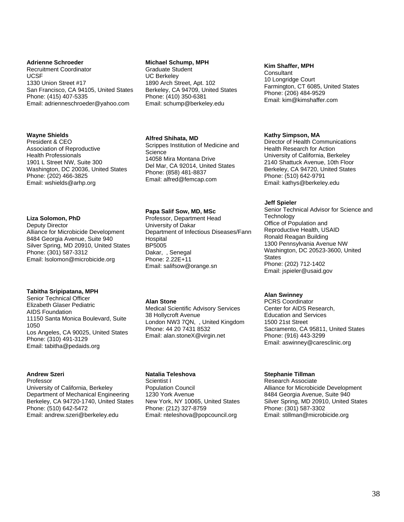#### **Adrienne Schroeder**

Recruitment Coordinator UCSF 1330 Union Street #17 San Francisco, CA 94105, United States Phone: (415) 407-5335 Email: adrienneschroeder@yahoo.com

#### **Wayne Shields**

President & CEO Association of Reproductive Health Professionals 1901 L Street NW, Suite 300 Washington, DC 20036, United States Phone: (202) 466-3825 Email: wshields@arhp.org

#### **Liza Solomon, PhD**

Deputy Director Alliance for Microbicide Development 8484 Georgia Avenue, Suite 940 Silver Spring, MD 20910, United States Phone: (301) 587-3312 Email: lsolomon@microbicide.org

#### **Tabitha Sripipatana, MPH**

Senior Technical Officer Elizabeth Glaser Pediatric AIDS Foundation 11150 Santa Monica Boulevard, Suite 1050 Los Angeles, CA 90025, United States Phone: (310) 491-3129 Email: tabitha@pedaids.org

#### **Andrew Szeri**

Professor University of California, Berkeley Department of Mechanical Engineering Berkeley, CA 94720-1740, United States Phone: (510) 642-5472 Email: andrew.szeri@berkeley.edu

#### **Michael Schump, MPH**

Graduate Student UC Berkeley 1890 Arch Street, Apt. 102 Berkeley, CA 94709, United States Phone: (410) 350-6381 Email: schump@berkeley.edu

#### **Alfred Shihata, MD**

Scrippes Institution of Medicine and **Science** 14058 Mira Montana Drive Del Mar, CA 92014, United States Phone: (858) 481-8837 Email: alfred@femcap.com

#### **Papa Salif Sow, MD, MSc**

Professor, Department Head University of Dakar Department of Infectious Diseases/Fann **Hospital** BP5005 Dakar, , Senegal Phone: 2.22E+11 Email: salifsow@orange.sn

#### **Alan Stone**

Medical Scientific Advisory Services 38 Hollycroft Avenue London NW3 7QN, , United Kingdom Phone: 44 20 7431 8532 Email: alan.stoneX@virgin.net

#### **Natalia Teleshova**

Scientist I Population Council 1230 York Avenue New York, NY 10065, United States Phone: (212) 327-8759 Email: nteleshova@popcouncil.org

#### **Kim Shaffer, MPH**

**Consultant** 10 Longridge Court Farmington, CT 6085, United States Phone: (206) 484-9529 Email: kim@kimshaffer.com

#### **Kathy Simpson, MA**

Director of Health Communications Health Research for Action University of California, Berkeley 2140 Shattuck Avenue, 10th Floor Berkeley, CA 94720, United States Phone: (510) 642-9791 Email: kathys@berkeley.edu

#### **Jeff Spieler**

Senior Technical Advisor for Science and **Technology** Office of Population and Reproductive Health, USAID Ronald Reagan Building 1300 Pennsylvania Avenue NW Washington, DC 20523-3600, United States Phone: (202) 712-1402 Email: jspieler@usaid.gov

#### **Alan Swinney**

PCRS Coordinator Center for AIDS Research, Education and Services 1500 21st Street Sacramento, CA 95811, United States Phone: (916) 443-3299 Email: aswinney@caresclinic.org

#### **Stephanie Tillman**

Research Associate Alliance for Microbicide Development 8484 Georgia Avenue, Suite 940 Silver Spring, MD 20910, United States Phone: (301) 587-3302 Email: stillman@microbicide.org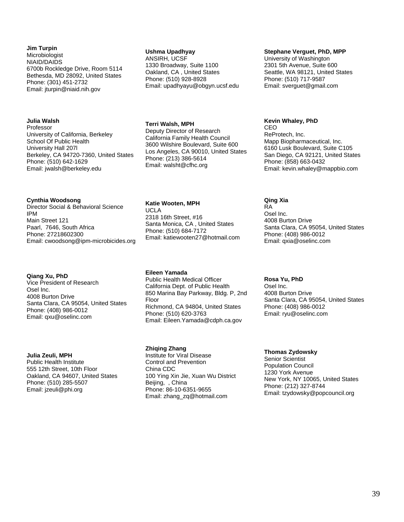#### **Jim Turpin**

Microbiologist NIAID/DAIDS 6700b Rockledge Drive, Room 5114 Bethesda, MD 28092, United States Phone: (301) 451-2732 Email: jturpin@niaid.nih.gov

### **Julia Walsh**

Professor University of California, Berkeley School Of Public Health University Hall 207l Berkeley, CA 94720-7360, United States Phone: (510) 642-1629 Email: jwalsh@berkeley.edu

#### **Cynthia Woodsong**

Director Social & Behavioral Science IPM Main Street 121 Paarl, 7646, South Africa Phone: 27218602300 Email: cwoodsong@ipm-microbicides.org

#### **Qiang Xu, PhD**

Vice President of Research Osel Inc. 4008 Burton Drive Santa Clara, CA 95054, United States Phone: (408) 986-0012 Email: qxu@oselinc.com

#### **Julia Zeuli, MPH**

Public Health Institute 555 12th Street, 10th Floor Oakland, CA 94607, United States Phone: (510) 285-5507 Email: jzeuli@phi.org

#### **Ushma Upadhyay**

ANSIRH, UCSF 1330 Broadway, Suite 1100 Oakland, CA , United States Phone: (510) 928-8928 Email: upadhyayu@obgyn.ucsf.edu

**Terri Walsh, MPH** 

Deputy Director of Research California Family Health Council 3600 Wilshire Boulevard, Suite 600 Los Angeles, CA 90010, United States Phone: (213) 386-5614 Email: walsht@cfhc.org

#### **Katie Wooten, MPH**

UCLA 2318 16th Street, #16 Santa Monica, CA , United States Phone: (510) 684-7172 Email: katiewooten27@hotmail.com

#### **Eileen Yamada**

Public Health Medical Officer California Dept. of Public Health 850 Marina Bay Parkway, Bldg. P, 2nd Floor Richmond, CA 94804, United States Phone: (510) 620-3763 Email: Eileen.Yamada@cdph.ca.gov

#### **Zhiqing Zhang**

Institute for Viral Disease Control and Prevention China CDC 100 Ying Xin Jie, Xuan Wu District Beijing, , China Phone: 86-10-6351-9655 Email: zhang\_zq@hotmail.com

#### **Stephane Verguet, PhD, MPP**

University of Washington 2301 5th Avenue, Suite 600 Seattle, WA 98121, United States Phone: (510) 717-9587 Email: sverguet@gmail.com

#### **Kevin Whaley, PhD**

CEO ReProtech, Inc. Mapp Biopharmaceutical, Inc. 6160 Lusk Boulevard, Suite C105 San Diego, CA 92121, United States Phone: (858) 663-0432 Email: kevin.whaley@mappbio.com

#### **Qing Xia**

RA Osel Inc. 4008 Burton Drive Santa Clara, CA 95054, United States Phone: (408) 986-0012 Email: qxia@oselinc.com

#### **Rosa Yu, PhD**

Osel Inc. 4008 Burton Drive Santa Clara, CA 95054, United States Phone: (408) 986-0012 Email: ryu@oselinc.com

#### **Thomas Zydowsky**

Senior Scientist Population Council 1230 York Avenue New York, NY 10065, United States Phone: (212) 327-8744 Email: tzydowsky@popcouncil.org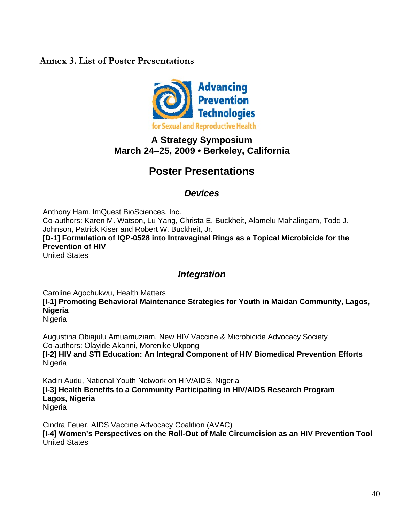# **Annex 3. List of Poster Presentations**



# **A Strategy Symposium March 24–25, 2009 • Berkeley, California**

# **Poster Presentations**

# *Devices*

Anthony Ham, lmQuest BioSciences, Inc. Co-authors: Karen M. Watson, Lu Yang, Christa E. Buckheit, Alamelu Mahalingam, Todd J. Johnson, Patrick Kiser and Robert W. Buckheit, Jr. **[D-1] Formulation of IQP-0528 into Intravaginal Rings as a Topical Microbicide for the Prevention of HIV** United States

# *Integration*

Caroline Agochukwu, Health Matters

**[I-1] Promoting Behavioral Maintenance Strategies for Youth in Maidan Community, Lagos, Nigeria**

Nigeria

Augustina Obiajulu Amuamuziam, New HIV Vaccine & Microbicide Advocacy Society Co-authors: Olayide Akanni, Morenike Ukpong **[I-2] HIV and STI Education: An Integral Component of HIV Biomedical Prevention Efforts Nigeria** 

Kadiri Audu, National Youth Network on HIV/AIDS, Nigeria **[I-3] Health Benefits to a Community Participating in HIV/AIDS Research Program Lagos, Nigeria** Nigeria

Cindra Feuer, AIDS Vaccine Advocacy Coalition (AVAC) **[I-4] Women's Perspectives on the Roll-Out of Male Circumcision as an HIV Prevention Tool** United States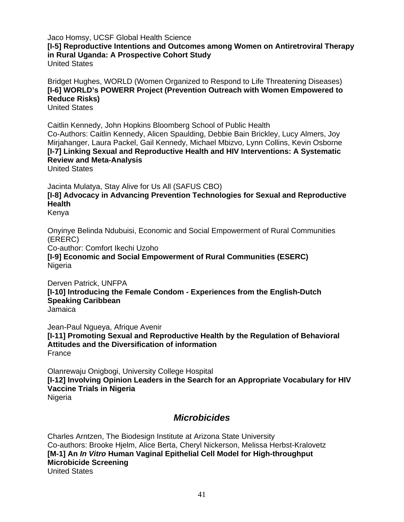Jaco Homsy, UCSF Global Health Science **[I-5] Reproductive Intentions and Outcomes among Women on Antiretroviral Therapy in Rural Uganda: A Prospective Cohort Study**  United States

Bridget Hughes, WORLD (Women Organized to Respond to Life Threatening Diseases) **[I-6] WORLD's POWERR Project (Prevention Outreach with Women Empowered to Reduce Risks)**

United States

Caitlin Kennedy, John Hopkins Bloomberg School of Public Health Co-Authors: Caitlin Kennedy, Alicen Spaulding, Debbie Bain Brickley, Lucy Almers, Joy Mirjahanger, Laura Packel, Gail Kennedy, Michael Mbizvo, Lynn Collins, Kevin Osborne **[I-7] Linking Sexual and Reproductive Health and HIV Interventions: A Systematic Review and Meta-Analysis**

United States

Jacinta Mulatya, Stay Alive for Us All (SAFUS CBO) **[I-8] Advocacy in Advancing Prevention Technologies for Sexual and Reproductive Health**

Kenya

Onyinye Belinda Ndubuisi, Economic and Social Empowerment of Rural Communities (ERERC)

Co-author: Comfort Ikechi Uzoho

**[I-9] Economic and Social Empowerment of Rural Communities (ESERC) Nigeria** 

Derven Patrick, UNFPA **[I-10] Introducing the Female Condom - Experiences from the English-Dutch Speaking Caribbean** Jamaica

Jean-Paul Ngueya, Afrique Avenir **[I-11] Promoting Sexual and Reproductive Health by the Regulation of Behavioral Attitudes and the Diversification of information** France

Olanrewaju Onigbogi, University College Hospital **[I-12] Involving Opinion Leaders in the Search for an Appropriate Vocabulary for HIV Vaccine Trials in Nigeria** Nigeria

# *Microbicides*

Charles Arntzen, The Biodesign Institute at Arizona State University Co-authors: Brooke Hjelm, Alice Berta, Cheryl Nickerson, Melissa Herbst-Kralovetz **[M-1] An** *In Vitro* **Human Vaginal Epithelial Cell Model for High-throughput Microbicide Screening** United States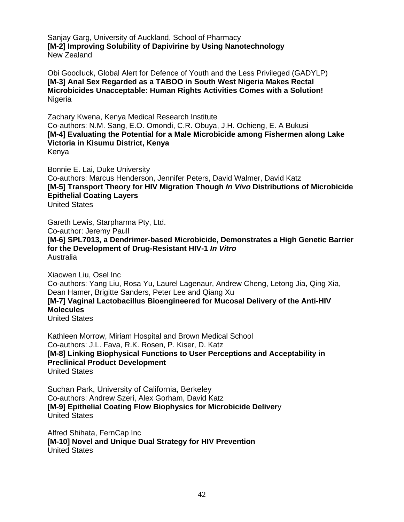Sanjay Garg, University of Auckland, School of Pharmacy **[M-2] Improving Solubility of Dapivirine by Using Nanotechnology**  New Zealand

Obi Goodluck, Global Alert for Defence of Youth and the Less Privileged (GADYLP) **[M-3] Anal Sex Regarded as a TABOO in South West Nigeria Makes Rectal Microbicides Unacceptable: Human Rights Activities Comes with a Solution!** Nigeria

Zachary Kwena, Kenya Medical Research Institute Co-authors: N.M. Sang, E.O. Omondi, C.R. Obuya, J.H. Ochieng, E. A Bukusi **[M-4] Evaluating the Potential for a Male Microbicide among Fishermen along Lake Victoria in Kisumu District, Kenya** Kenya

Bonnie E. Lai, Duke University Co-authors: Marcus Henderson, Jennifer Peters, David Walmer, David Katz **[M-5] Transport Theory for HIV Migration Though** *In Vivo* **Distributions of Microbicide Epithelial Coating Layers** United States

Gareth Lewis, Starpharma Pty, Ltd. Co-author: Jeremy Paull **[M-6] SPL7013, a Dendrimer-based Microbicide, Demonstrates a High Genetic Barrier for the Development of Drug-Resistant HIV-1** *In Vitro* Australia

Xiaowen Liu, Osel Inc Co-authors: Yang Liu, Rosa Yu, Laurel Lagenaur, Andrew Cheng, Letong Jia, Qing Xia, Dean Hamer, Brigitte Sanders, Peter Lee and Qiang Xu **[M-7] Vaginal Lactobacillus Bioengineered for Mucosal Delivery of the Anti-HIV Molecules** United States

Kathleen Morrow, Miriam Hospital and Brown Medical School Co-authors: J.L. Fava, R.K. Rosen, P. Kiser, D. Katz **[M-8] Linking Biophysical Functions to User Perceptions and Acceptability in Preclinical Product Development** United States

Suchan Park, University of California, Berkeley Co-authors: Andrew Szeri, Alex Gorham, David Katz **[M-9] Epithelial Coating Flow Biophysics for Microbicide Deliver**y United States

Alfred Shihata, FernCap Inc **[M-10] Novel and Unique Dual Strategy for HIV Prevention** United States